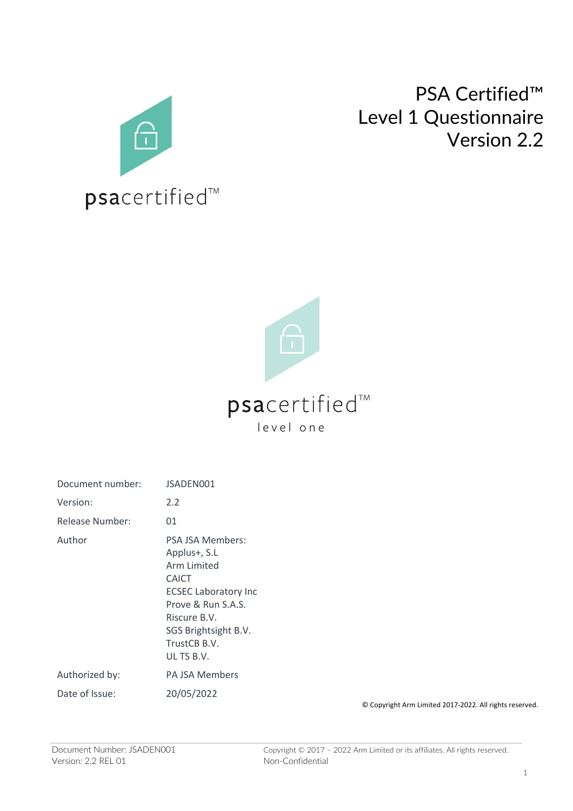

## PSA Certified™ Level 1 Questionnaire Version 2.2



| Document number: | JSADEN001                                                                                                                                                                                  |
|------------------|--------------------------------------------------------------------------------------------------------------------------------------------------------------------------------------------|
| Version:         | 2.2                                                                                                                                                                                        |
| Release Number:  | 01                                                                                                                                                                                         |
| Author           | <b>PSA JSA Members:</b><br>Applus+, S.L<br>Arm Limited<br>CAICT<br><b>ECSEC Laboratory Inc</b><br>Prove & Run S.A.S.<br>Riscure B.V.<br>SGS Brightsight B.V.<br>TrustCB B.V.<br>UL TS B.V. |
| Authorized by:   | <b>PA ISA Members</b>                                                                                                                                                                      |
| Date of Issue:   | 20/05/2022                                                                                                                                                                                 |

© Copyright Arm Limited 2017-2022. All rights reserved.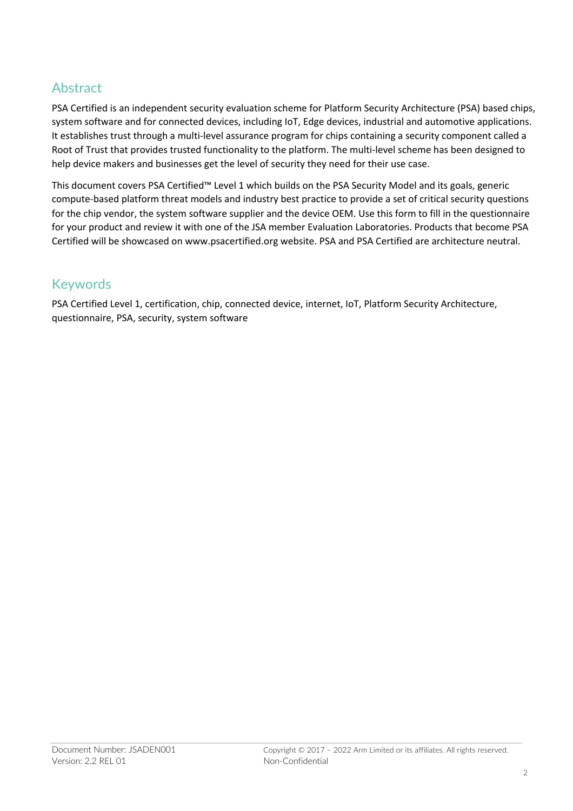## Abstract

PSA Certified is an independent security evaluation scheme for Platform Security Architecture (PSA) based chips, system software and for connected devices, including IoT, Edge devices, industrial and automotive applications. It establishes trust through a multi-level assurance program for chips containing a security component called a Root of Trust that provides trusted functionality to the platform. The multi-level scheme has been designed to help device makers and businesses get the level of security they need for their use case.

This document covers PSA Certified™ Level 1 which builds on the PSA Security Model and its goals, generic compute-based platform threat models and industry best practice to provide a set of critical security questions for the chip vendor, the system software supplier and the device OEM. Use this form to fill in the questionnaire for your product and review it with one of the JSA member Evaluation Laboratories. Products that become PSA Certified will be showcased on www.psacertified.org website. PSA and PSA Certified are architecture neutral.

### Keywords

PSA Certified Level 1, certification, chip, connected device, internet, IoT, Platform Security Architecture, questionnaire, PSA, security, system software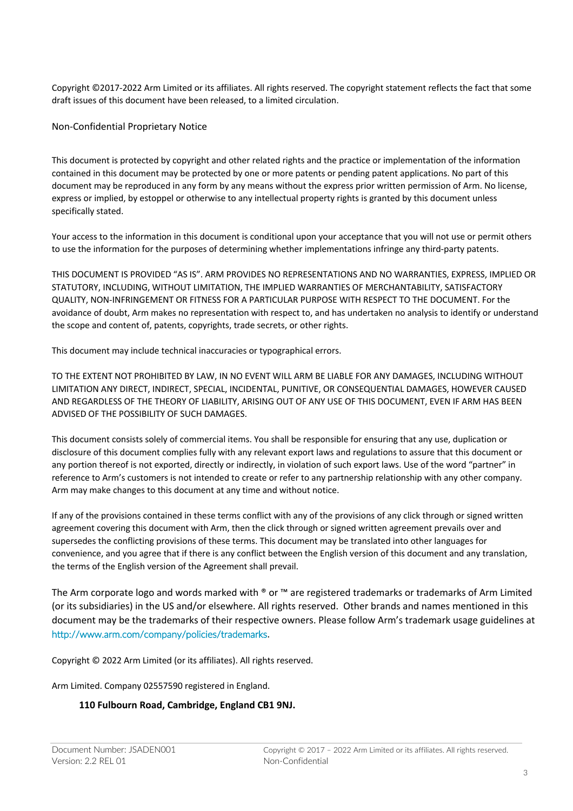Copyright ©2017-2022 Arm Limited or its affiliates. All rights reserved. The copyright statement reflects the fact that some draft issues of this document have been released, to a limited circulation.

Non-Confidential Proprietary Notice

This document is protected by copyright and other related rights and the practice or implementation of the information contained in this document may be protected by one or more patents or pending patent applications. No part of this document may be reproduced in any form by any means without the express prior written permission of Arm. No license, express or implied, by estoppel or otherwise to any intellectual property rights is granted by this document unless specifically stated.

Your access to the information in this document is conditional upon your acceptance that you will not use or permit others to use the information for the purposes of determining whether implementations infringe any third-party patents.

THIS DOCUMENT IS PROVIDED "AS IS". ARM PROVIDES NO REPRESENTATIONS AND NO WARRANTIES, EXPRESS, IMPLIED OR STATUTORY, INCLUDING, WITHOUT LIMITATION, THE IMPLIED WARRANTIES OF MERCHANTABILITY, SATISFACTORY QUALITY, NON-INFRINGEMENT OR FITNESS FOR A PARTICULAR PURPOSE WITH RESPECT TO THE DOCUMENT. For the avoidance of doubt, Arm makes no representation with respect to, and has undertaken no analysis to identify or understand the scope and content of, patents, copyrights, trade secrets, or other rights.

This document may include technical inaccuracies or typographical errors.

TO THE EXTENT NOT PROHIBITED BY LAW, IN NO EVENT WILL ARM BE LIABLE FOR ANY DAMAGES, INCLUDING WITHOUT LIMITATION ANY DIRECT, INDIRECT, SPECIAL, INCIDENTAL, PUNITIVE, OR CONSEQUENTIAL DAMAGES, HOWEVER CAUSED AND REGARDLESS OF THE THEORY OF LIABILITY, ARISING OUT OF ANY USE OF THIS DOCUMENT, EVEN IF ARM HAS BEEN ADVISED OF THE POSSIBILITY OF SUCH DAMAGES.

This document consists solely of commercial items. You shall be responsible for ensuring that any use, duplication or disclosure of this document complies fully with any relevant export laws and regulations to assure that this document or any portion thereof is not exported, directly or indirectly, in violation of such export laws. Use of the word "partner" in reference to Arm's customers is not intended to create or refer to any partnership relationship with any other company. Arm may make changes to this document at any time and without notice.

If any of the provisions contained in these terms conflict with any of the provisions of any click through or signed written agreement covering this document with Arm, then the click through or signed written agreement prevails over and supersedes the conflicting provisions of these terms. This document may be translated into other languages for convenience, and you agree that if there is any conflict between the English version of this document and any translation, the terms of the English version of the Agreement shall prevail.

The Arm corporate logo and words marked with <sup>®</sup> or ™ are registered trademarks or trademarks of Arm Limited (or its subsidiaries) in the US and/or elsewhere. All rights reserved. Other brands and names mentioned in this document may be the trademarks of their respective owners. Please follow Arm's trademark usage guidelines at http://www.arm.com/company/policies/trademarks.

Copyright © 2022 Arm Limited (or its affiliates). All rights reserved.

Arm Limited. Company 02557590 registered in England.

#### **110 Fulbourn Road, Cambridge, England CB1 9NJ.**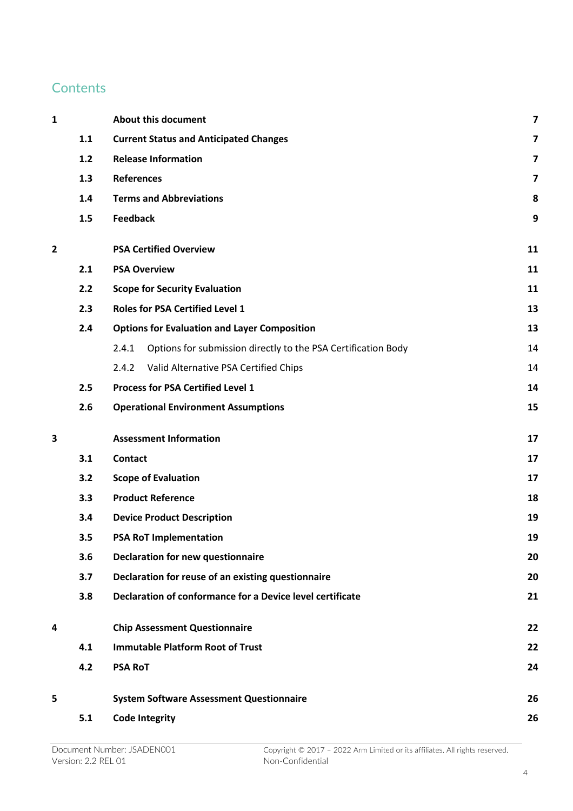### **Contents**

| 1 |     | <b>About this document</b>                                             | 7  |
|---|-----|------------------------------------------------------------------------|----|
|   | 1.1 | <b>Current Status and Anticipated Changes</b>                          | 7  |
|   | 1.2 | <b>Release Information</b>                                             | 7  |
|   | 1.3 | <b>References</b>                                                      | 7  |
|   | 1.4 | <b>Terms and Abbreviations</b>                                         | 8  |
|   | 1.5 | <b>Feedback</b>                                                        | 9  |
| 2 |     | <b>PSA Certified Overview</b>                                          | 11 |
|   | 2.1 | <b>PSA Overview</b>                                                    | 11 |
|   | 2.2 | <b>Scope for Security Evaluation</b>                                   | 11 |
|   | 2.3 | <b>Roles for PSA Certified Level 1</b>                                 | 13 |
|   | 2.4 | <b>Options for Evaluation and Layer Composition</b>                    | 13 |
|   |     | Options for submission directly to the PSA Certification Body<br>2.4.1 | 14 |
|   |     | Valid Alternative PSA Certified Chips<br>2.4.2                         | 14 |
|   | 2.5 | <b>Process for PSA Certified Level 1</b>                               | 14 |
|   | 2.6 | <b>Operational Environment Assumptions</b>                             | 15 |
| 3 |     | <b>Assessment Information</b>                                          | 17 |
|   | 3.1 | <b>Contact</b>                                                         | 17 |
|   | 3.2 | <b>Scope of Evaluation</b>                                             | 17 |
|   | 3.3 | <b>Product Reference</b>                                               | 18 |
|   | 3.4 | <b>Device Product Description</b><br>19                                |    |
|   | 3.5 | <b>PSA RoT Implementation</b><br>19                                    |    |
|   | 3.6 | <b>Declaration for new questionnaire</b>                               | 20 |
|   | 3.7 | Declaration for reuse of an existing questionnaire                     | 20 |
|   | 3.8 | Declaration of conformance for a Device level certificate              | 21 |
| 4 |     | <b>Chip Assessment Questionnaire</b>                                   | 22 |
|   | 4.1 | <b>Immutable Platform Root of Trust</b>                                | 22 |
|   | 4.2 | <b>PSA RoT</b>                                                         | 24 |
| 5 |     | <b>System Software Assessment Questionnaire</b>                        | 26 |
|   | 5.1 | <b>Code Integrity</b>                                                  | 26 |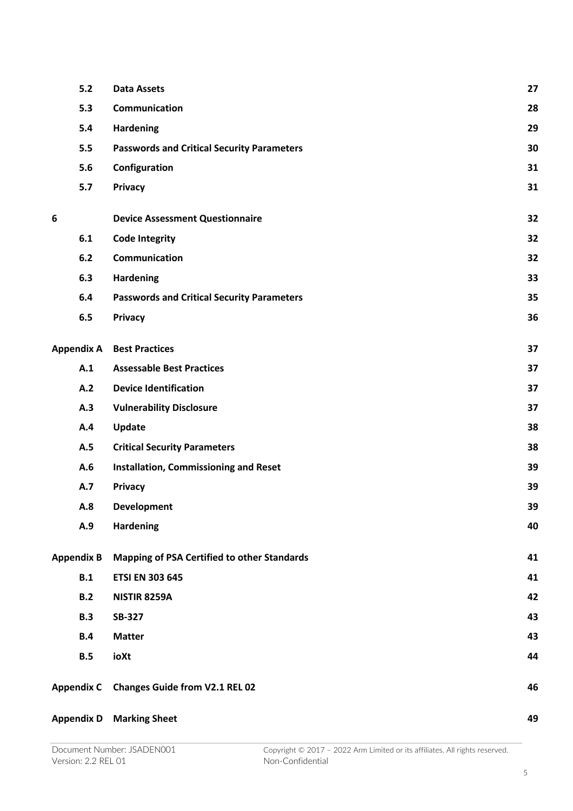| $5.2$ | <b>Data Assets</b>                                 | 27                                                                  |
|-------|----------------------------------------------------|---------------------------------------------------------------------|
| 5.3   | Communication                                      | 28                                                                  |
| 5.4   | <b>Hardening</b>                                   | 29                                                                  |
| 5.5   | <b>Passwords and Critical Security Parameters</b>  | 30                                                                  |
| 5.6   | Configuration                                      | 31                                                                  |
| 5.7   | Privacy                                            | 31                                                                  |
|       | <b>Device Assessment Questionnaire</b>             | 32                                                                  |
| 6.1   | <b>Code Integrity</b>                              | 32                                                                  |
| 6.2   | Communication                                      | 32                                                                  |
| 6.3   | <b>Hardening</b>                                   | 33                                                                  |
| 6.4   | <b>Passwords and Critical Security Parameters</b>  | 35                                                                  |
| 6.5   | Privacy                                            | 36                                                                  |
|       |                                                    | 37                                                                  |
| A.1   | <b>Assessable Best Practices</b>                   | 37                                                                  |
| A.2   | <b>Device Identification</b>                       | 37                                                                  |
| A.3   | <b>Vulnerability Disclosure</b>                    | 37                                                                  |
| A.4   | Update                                             | 38                                                                  |
| A.5   | <b>Critical Security Parameters</b>                | 38                                                                  |
| A.6   | Installation, Commissioning and Reset              | 39                                                                  |
| A.7   | <b>Privacy</b>                                     | 39                                                                  |
| A.8   | <b>Development</b>                                 | 39                                                                  |
| A.9   | <b>Hardening</b>                                   | 40                                                                  |
|       | <b>Mapping of PSA Certified to other Standards</b> | 41                                                                  |
| B.1   | <b>ETSI EN 303 645</b>                             | 41                                                                  |
| B.2   | <b>NISTIR 8259A</b>                                | 42                                                                  |
| B.3   | <b>SB-327</b>                                      | 43                                                                  |
| B.4   | <b>Matter</b>                                      | 43                                                                  |
| B.5   | ioXt                                               | 44                                                                  |
|       | <b>Changes Guide from V2.1 REL 02</b>              | 46                                                                  |
|       | <b>Marking Sheet</b>                               | 49                                                                  |
|       | <b>Appendix B</b>                                  | <b>Appendix A Best Practices</b><br><b>Appendix C</b><br>Appendix D |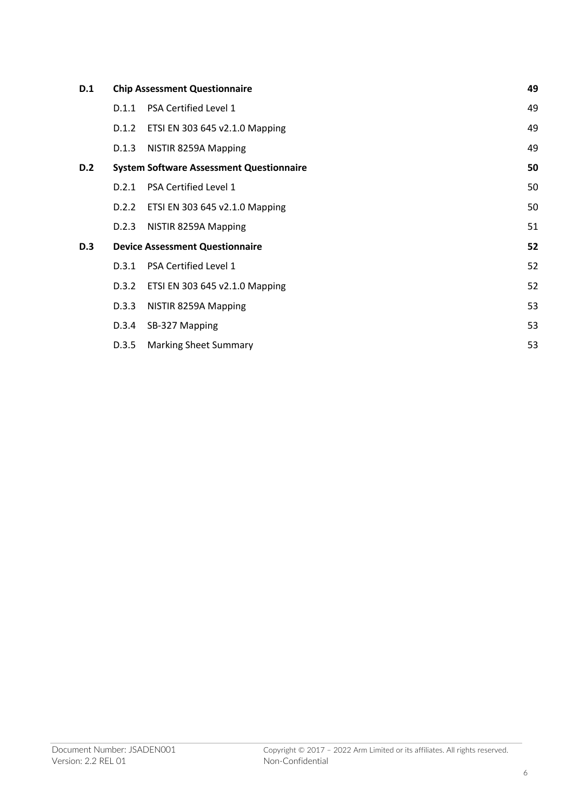| D.1        |       | <b>Chip Assessment Questionnaire</b>            | 49 |
|------------|-------|-------------------------------------------------|----|
|            | D.1.1 | PSA Certified Level 1                           | 49 |
|            | D.1.2 | ETSI EN 303 645 v2.1.0 Mapping                  | 49 |
|            | D.1.3 | NISTIR 8259A Mapping                            | 49 |
| <b>D.2</b> |       | <b>System Software Assessment Questionnaire</b> | 50 |
|            | D.2.1 | PSA Certified Level 1                           | 50 |
|            | D.2.2 | ETSI EN 303 645 v2.1.0 Mapping                  | 50 |
|            | D.2.3 | NISTIR 8259A Mapping                            | 51 |
| <b>D.3</b> |       | <b>Device Assessment Questionnaire</b>          | 52 |
|            | D.3.1 | PSA Certified Level 1                           | 52 |
|            | D.3.2 | ETSI EN 303 645 v2.1.0 Mapping                  | 52 |
|            | D.3.3 | NISTIR 8259A Mapping                            | 53 |
|            | D.3.4 | SB-327 Mapping                                  | 53 |
|            | D.3.5 | <b>Marking Sheet Summary</b>                    | 53 |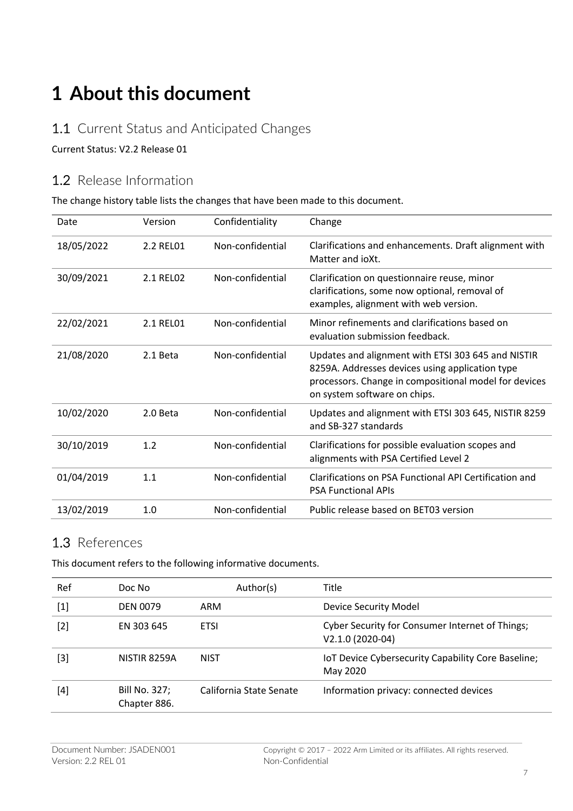## **1 About this document**

#### 1.1 Current Status and Anticipated Changes

Current Status: V2.2 Release 01

#### 1.2 Release Information

The change history table lists the changes that have been made to this document.

| Date       | Version   | Confidentiality  | Change                                                                                                                                                                                         |
|------------|-----------|------------------|------------------------------------------------------------------------------------------------------------------------------------------------------------------------------------------------|
| 18/05/2022 | 2.2 REL01 | Non-confidential | Clarifications and enhancements. Draft alignment with<br>Matter and joXt.                                                                                                                      |
| 30/09/2021 | 2.1 RELO2 | Non-confidential | Clarification on questionnaire reuse, minor<br>clarifications, some now optional, removal of<br>examples, alignment with web version.                                                          |
| 22/02/2021 | 2.1 REL01 | Non-confidential | Minor refinements and clarifications based on<br>evaluation submission feedback.                                                                                                               |
| 21/08/2020 | 2.1 Beta  | Non-confidential | Updates and alignment with ETSI 303 645 and NISTIR<br>8259A. Addresses devices using application type<br>processors. Change in compositional model for devices<br>on system software on chips. |
| 10/02/2020 | 2.0 Beta  | Non-confidential | Updates and alignment with ETSI 303 645, NISTIR 8259<br>and SB-327 standards                                                                                                                   |
| 30/10/2019 | 1.2       | Non-confidential | Clarifications for possible evaluation scopes and<br>alignments with PSA Certified Level 2                                                                                                     |
| 01/04/2019 | 1.1       | Non-confidential | Clarifications on PSA Functional API Certification and<br><b>PSA Functional APIs</b>                                                                                                           |
| 13/02/2019 | 1.0       | Non-confidential | Public release based on BET03 version                                                                                                                                                          |

#### 1.3 References

This document refers to the following informative documents.

| Ref   | Doc No                        | Author(s)               | Title                                                               |
|-------|-------------------------------|-------------------------|---------------------------------------------------------------------|
| $[1]$ | <b>DEN 0079</b>               | ARM                     | Device Security Model                                               |
| $[2]$ | EN 303 645                    | <b>ETSI</b>             | Cyber Security for Consumer Internet of Things;<br>V2.1.0 (2020-04) |
| [3]   | NISTIR 8259A                  | NIST                    | IoT Device Cybersecurity Capability Core Baseline;<br>May 2020      |
| [4]   | Bill No. 327;<br>Chapter 886. | California State Senate | Information privacy: connected devices                              |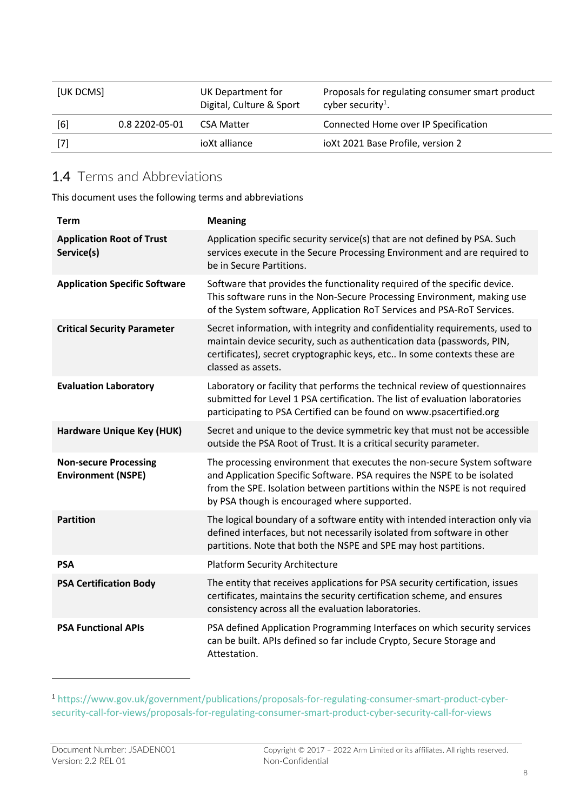| [UK DCMS] |                | UK Department for<br>Digital, Culture & Sport | Proposals for regulating consumer smart product<br>cyber security <sup>1</sup> . |
|-----------|----------------|-----------------------------------------------|----------------------------------------------------------------------------------|
| [6]       | 0.8 2202-05-01 | CSA Matter                                    | Connected Home over IP Specification                                             |
| [7]       |                | joXt alliance                                 | ioXt 2021 Base Profile, version 2                                                |

#### 1.4 Terms and Abbreviations

This document uses the following terms and abbreviations

| <b>Term</b>                                               | <b>Meaning</b>                                                                                                                                                                                                                                                                   |
|-----------------------------------------------------------|----------------------------------------------------------------------------------------------------------------------------------------------------------------------------------------------------------------------------------------------------------------------------------|
| <b>Application Root of Trust</b><br>Service(s)            | Application specific security service(s) that are not defined by PSA. Such<br>services execute in the Secure Processing Environment and are required to<br>be in Secure Partitions.                                                                                              |
| <b>Application Specific Software</b>                      | Software that provides the functionality required of the specific device.<br>This software runs in the Non-Secure Processing Environment, making use<br>of the System software, Application RoT Services and PSA-RoT Services.                                                   |
| <b>Critical Security Parameter</b>                        | Secret information, with integrity and confidentiality requirements, used to<br>maintain device security, such as authentication data (passwords, PIN,<br>certificates), secret cryptographic keys, etc In some contexts these are<br>classed as assets.                         |
| <b>Evaluation Laboratory</b>                              | Laboratory or facility that performs the technical review of questionnaires<br>submitted for Level 1 PSA certification. The list of evaluation laboratories<br>participating to PSA Certified can be found on www.psacertified.org                                               |
| <b>Hardware Unique Key (HUK)</b>                          | Secret and unique to the device symmetric key that must not be accessible<br>outside the PSA Root of Trust. It is a critical security parameter.                                                                                                                                 |
| <b>Non-secure Processing</b><br><b>Environment (NSPE)</b> | The processing environment that executes the non-secure System software<br>and Application Specific Software. PSA requires the NSPE to be isolated<br>from the SPE. Isolation between partitions within the NSPE is not required<br>by PSA though is encouraged where supported. |
| <b>Partition</b>                                          | The logical boundary of a software entity with intended interaction only via<br>defined interfaces, but not necessarily isolated from software in other<br>partitions. Note that both the NSPE and SPE may host partitions.                                                      |
| <b>PSA</b>                                                | <b>Platform Security Architecture</b>                                                                                                                                                                                                                                            |
| <b>PSA Certification Body</b>                             | The entity that receives applications for PSA security certification, issues<br>certificates, maintains the security certification scheme, and ensures<br>consistency across all the evaluation laboratories.                                                                    |
| <b>PSA Functional APIs</b>                                | PSA defined Application Programming Interfaces on which security services<br>can be built. APIs defined so far include Crypto, Secure Storage and<br>Attestation.                                                                                                                |

<sup>1</sup> https://www.gov.uk/government/publications/proposals-for-regulating-consumer-smart-product-cybersecurity-call-for-views/proposals-for-regulating-consumer-smart-product-cyber-security-call-for-views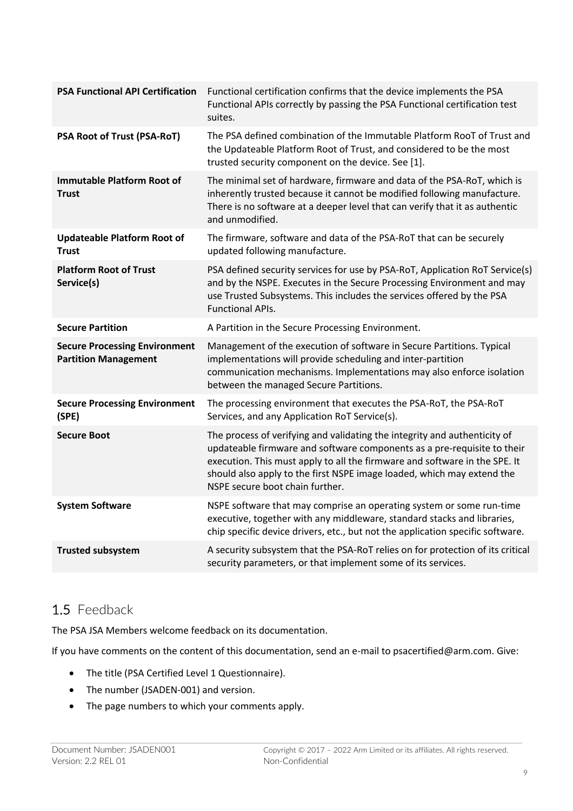| <b>PSA Functional API Certification</b>                             | Functional certification confirms that the device implements the PSA<br>Functional APIs correctly by passing the PSA Functional certification test<br>suites.                                                                                                                                                                                   |
|---------------------------------------------------------------------|-------------------------------------------------------------------------------------------------------------------------------------------------------------------------------------------------------------------------------------------------------------------------------------------------------------------------------------------------|
| PSA Root of Trust (PSA-RoT)                                         | The PSA defined combination of the Immutable Platform RooT of Trust and<br>the Updateable Platform Root of Trust, and considered to be the most<br>trusted security component on the device. See [1].                                                                                                                                           |
| <b>Immutable Platform Root of</b><br><b>Trust</b>                   | The minimal set of hardware, firmware and data of the PSA-RoT, which is<br>inherently trusted because it cannot be modified following manufacture.<br>There is no software at a deeper level that can verify that it as authentic<br>and unmodified.                                                                                            |
| <b>Updateable Platform Root of</b><br><b>Trust</b>                  | The firmware, software and data of the PSA-RoT that can be securely<br>updated following manufacture.                                                                                                                                                                                                                                           |
| <b>Platform Root of Trust</b><br>Service(s)                         | PSA defined security services for use by PSA-RoT, Application RoT Service(s)<br>and by the NSPE. Executes in the Secure Processing Environment and may<br>use Trusted Subsystems. This includes the services offered by the PSA<br><b>Functional APIs.</b>                                                                                      |
| <b>Secure Partition</b>                                             | A Partition in the Secure Processing Environment.                                                                                                                                                                                                                                                                                               |
| <b>Secure Processing Environment</b><br><b>Partition Management</b> | Management of the execution of software in Secure Partitions. Typical<br>implementations will provide scheduling and inter-partition<br>communication mechanisms. Implementations may also enforce isolation<br>between the managed Secure Partitions.                                                                                          |
| <b>Secure Processing Environment</b><br>(SPE)                       | The processing environment that executes the PSA-RoT, the PSA-RoT<br>Services, and any Application RoT Service(s).                                                                                                                                                                                                                              |
| <b>Secure Boot</b>                                                  | The process of verifying and validating the integrity and authenticity of<br>updateable firmware and software components as a pre-requisite to their<br>execution. This must apply to all the firmware and software in the SPE. It<br>should also apply to the first NSPE image loaded, which may extend the<br>NSPE secure boot chain further. |
| <b>System Software</b>                                              | NSPE software that may comprise an operating system or some run-time<br>executive, together with any middleware, standard stacks and libraries,<br>chip specific device drivers, etc., but not the application specific software.                                                                                                               |
| <b>Trusted subsystem</b>                                            | A security subsystem that the PSA-RoT relies on for protection of its critical<br>security parameters, or that implement some of its services.                                                                                                                                                                                                  |
|                                                                     |                                                                                                                                                                                                                                                                                                                                                 |

## 1.5 Feedback

The PSA JSA Members welcome feedback on its documentation.

If you have comments on the content of this documentation, send an e-mail to psacertified@arm.com. Give:

- The title (PSA Certified Level 1 Questionnaire).
- The number (JSADEN-001) and version.
- The page numbers to which your comments apply.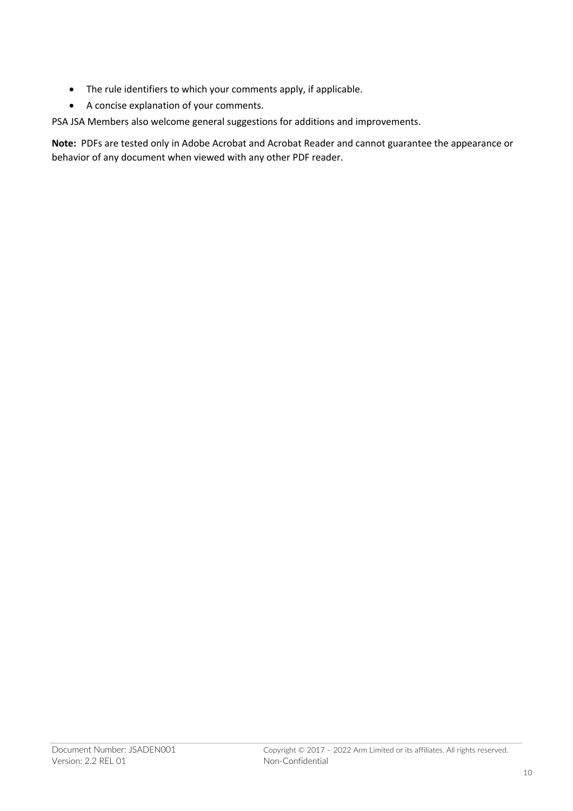- The rule identifiers to which your comments apply, if applicable.
- A concise explanation of your comments.

PSA JSA Members also welcome general suggestions for additions and improvements.

**Note:** PDFs are tested only in Adobe Acrobat and Acrobat Reader and cannot guarantee the appearance or behavior of any document when viewed with any other PDF reader.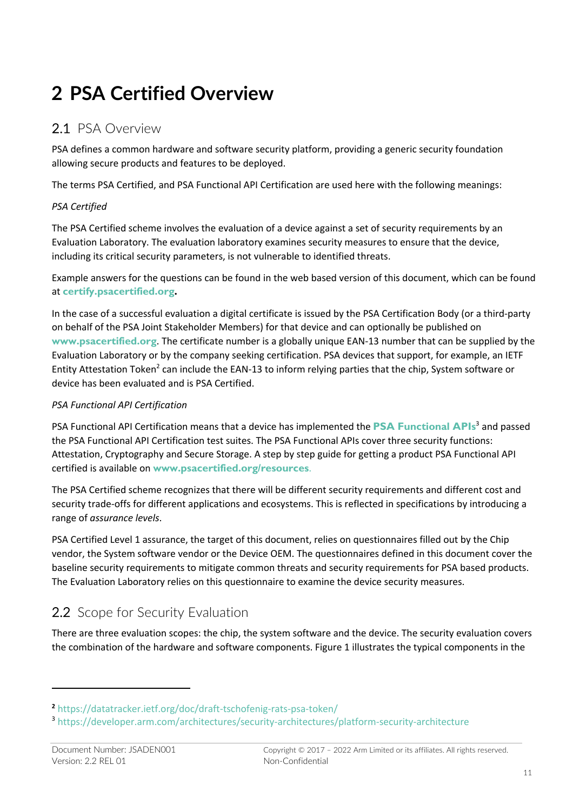# **2 PSA Certified Overview**

### 2.1 PSA Overview

PSA defines a common hardware and software security platform, providing a generic security foundation allowing secure products and features to be deployed.

The terms PSA Certified, and PSA Functional API Certification are used here with the following meanings:

#### *PSA Certified*

The PSA Certified scheme involves the evaluation of a device against a set of security requirements by an Evaluation Laboratory. The evaluation laboratory examines security measures to ensure that the device, including its critical security parameters, is not vulnerable to identified threats.

Example answers for the questions can be found in the web based version of this document, which can be found at **certify.psacertified.org.**

In the case of a successful evaluation a digital certificate is issued by the PSA Certification Body (or a third-party on behalf of the PSA Joint Stakeholder Members) for that device and can optionally be published on **www.psacertified.org**. The certificate number is a globally unique EAN-13 number that can be supplied by the Evaluation Laboratory or by the company seeking certification. PSA devices that support, for example, an IETF Entity Attestation Token<sup>2</sup> can include the EAN-13 to inform relying parties that the chip, System software or device has been evaluated and is PSA Certified.

#### *PSA Functional API Certification*

PSA Functional API Certification means that a device has implemented the **PSA Functional APIs**<sup>3</sup> and passed the PSA Functional API Certification test suites. The PSA Functional APIs cover three security functions: Attestation, Cryptography and Secure Storage. A step by step guide for getting a product PSA Functional API certified is available on **www.psacertified.org/resources**.

The PSA Certified scheme recognizes that there will be different security requirements and different cost and security trade-offs for different applications and ecosystems. This is reflected in specifications by introducing a range of *assurance levels*.

PSA Certified Level 1 assurance, the target of this document, relies on questionnaires filled out by the Chip vendor, the System software vendor or the Device OEM. The questionnaires defined in this document cover the baseline security requirements to mitigate common threats and security requirements for PSA based products. The Evaluation Laboratory relies on this questionnaire to examine the device security measures.

### 2.2 Scope for Security Evaluation

There are three evaluation scopes: the chip, the system software and the device. The security evaluation covers the combination of the hardware and software components. Figure 1 illustrates the typical components in the

**<sup>2</sup>** https://datatracker.ietf.org/doc/draft-tschofenig-rats-psa-token/

<sup>3</sup> https://developer.arm.com/architectures/security-architectures/platform-security-architecture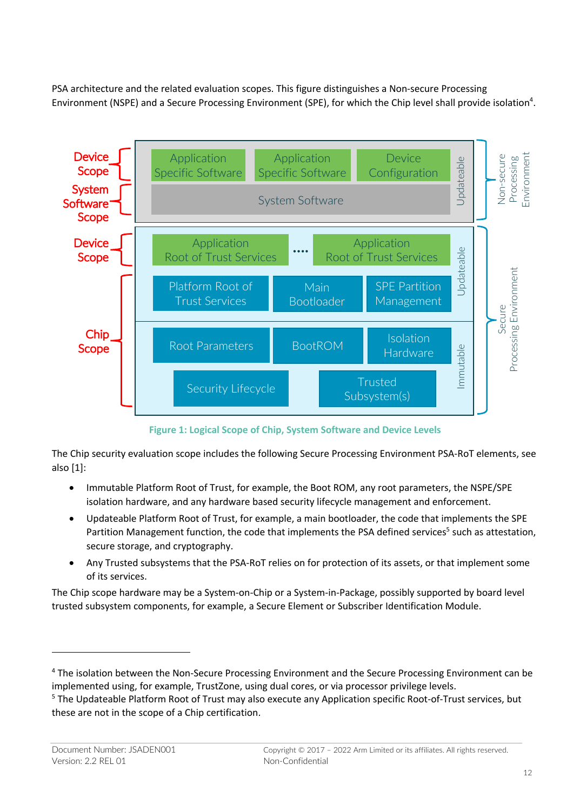PSA architecture and the related evaluation scopes. This figure distinguishes a Non-secure Processing Environment (NSPE) and a Secure Processing Environment (SPE), for which the Chip level shall provide isolation<sup>4</sup>.



**Figure 1: Logical Scope of Chip, System Software and Device Levels**

The Chip security evaluation scope includes the following Secure Processing Environment PSA-RoT elements, see also [1]:

- Immutable Platform Root of Trust, for example, the Boot ROM, any root parameters, the NSPE/SPE isolation hardware, and any hardware based security lifecycle management and enforcement.
- Updateable Platform Root of Trust, for example, a main bootloader, the code that implements the SPE Partition Management function, the code that implements the PSA defined services<sup>5</sup> such as attestation, secure storage, and cryptography.
- Any Trusted subsystems that the PSA-RoT relies on for protection of its assets, or that implement some of its services.

The Chip scope hardware may be a System-on-Chip or a System-in-Package, possibly supported by board level trusted subsystem components, for example, a Secure Element or Subscriber Identification Module.

<sup>4</sup> The isolation between the Non-Secure Processing Environment and the Secure Processing Environment can be implemented using, for example, TrustZone, using dual cores, or via processor privilege levels.

<sup>5</sup> The Updateable Platform Root of Trust may also execute any Application specific Root-of-Trust services, but these are not in the scope of a Chip certification.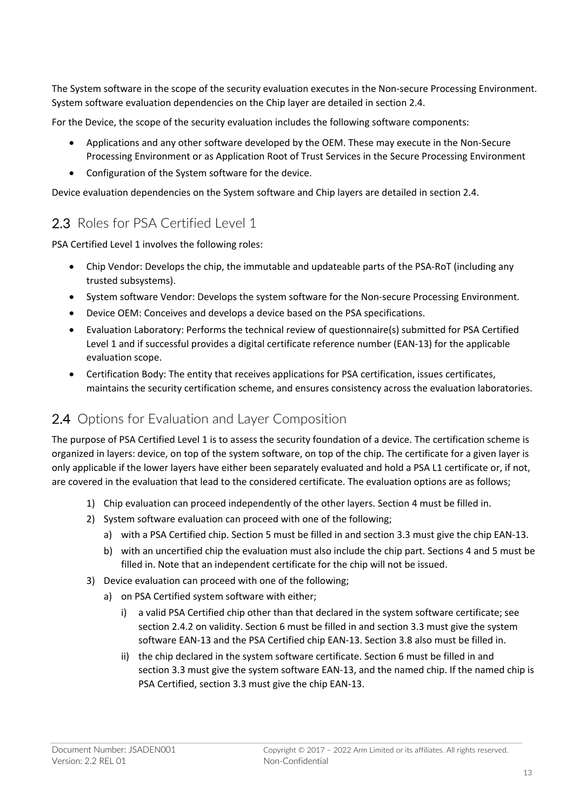The System software in the scope of the security evaluation executes in the Non-secure Processing Environment. System software evaluation dependencies on the Chip layer are detailed in section 2.4.

For the Device, the scope of the security evaluation includes the following software components:

- Applications and any other software developed by the OEM. These may execute in the Non-Secure Processing Environment or as Application Root of Trust Services in the Secure Processing Environment
- Configuration of the System software for the device.

Device evaluation dependencies on the System software and Chip layers are detailed in section 2.4.

### 2.3 Roles for PSA Certified Level 1

PSA Certified Level 1 involves the following roles:

- Chip Vendor: Develops the chip, the immutable and updateable parts of the PSA-RoT (including any trusted subsystems).
- System software Vendor: Develops the system software for the Non-secure Processing Environment.
- Device OEM: Conceives and develops a device based on the PSA specifications.
- Evaluation Laboratory: Performs the technical review of questionnaire(s) submitted for PSA Certified Level 1 and if successful provides a digital certificate reference number (EAN-13) for the applicable evaluation scope.
- Certification Body: The entity that receives applications for PSA certification, issues certificates, maintains the security certification scheme, and ensures consistency across the evaluation laboratories.

### 2.4 Options for Evaluation and Layer Composition

The purpose of PSA Certified Level 1 is to assess the security foundation of a device. The certification scheme is organized in layers: device, on top of the system software, on top of the chip. The certificate for a given layer is only applicable if the lower layers have either been separately evaluated and hold a PSA L1 certificate or, if not, are covered in the evaluation that lead to the considered certificate. The evaluation options are as follows;

- 1) Chip evaluation can proceed independently of the other layers. Section 4 must be filled in.
- 2) System software evaluation can proceed with one of the following;
	- a) with a PSA Certified chip. Section 5 must be filled in and section 3.3 must give the chip EAN-13.
	- b) with an uncertified chip the evaluation must also include the chip part. Sections 4 and 5 must be filled in. Note that an independent certificate for the chip will not be issued.
- 3) Device evaluation can proceed with one of the following;
	- a) on PSA Certified system software with either;
		- i) a valid PSA Certified chip other than that declared in the system software certificate; see section 2.4.2 on validity. Section 6 must be filled in and section 3.3 must give the system software EAN-13 and the PSA Certified chip EAN-13. Section 3.8 also must be filled in.
		- ii) the chip declared in the system software certificate. Section 6 must be filled in and section 3.3 must give the system software EAN-13, and the named chip. If the named chip is PSA Certified, section 3.3 must give the chip EAN-13.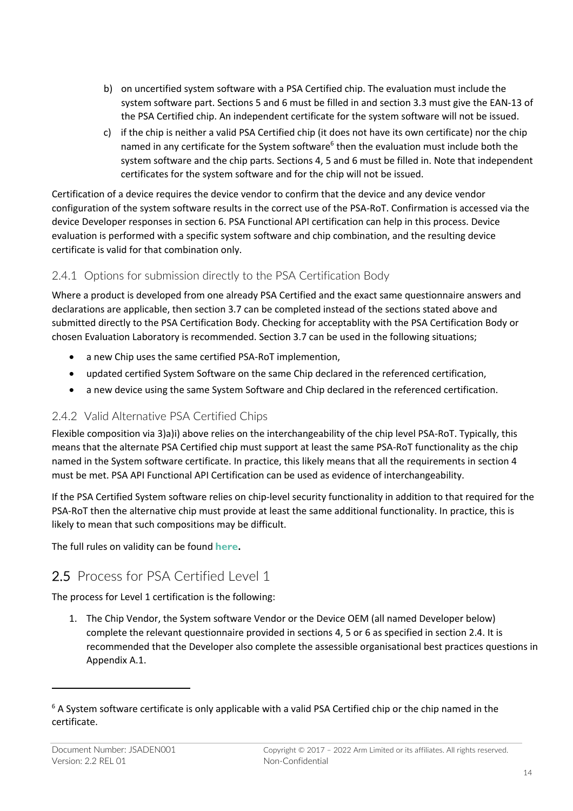- b) on uncertified system software with a PSA Certified chip. The evaluation must include the system software part. Sections 5 and 6 must be filled in and section 3.3 must give the EAN-13 of the PSA Certified chip. An independent certificate for the system software will not be issued.
- c) if the chip is neither a valid PSA Certified chip (it does not have its own certificate) nor the chip named in any certificate for the System software<sup>6</sup> then the evaluation must include both the system software and the chip parts. Sections 4, 5 and 6 must be filled in. Note that independent certificates for the system software and for the chip will not be issued.

Certification of a device requires the device vendor to confirm that the device and any device vendor configuration of the system software results in the correct use of the PSA-RoT. Confirmation is accessed via the device Developer responses in section 6. PSA Functional API certification can help in this process. Device evaluation is performed with a specific system software and chip combination, and the resulting device certificate is valid for that combination only.

#### 2.4.1 Options for submission directly to the PSA Certification Body

Where a product is developed from one already PSA Certified and the exact same questionnaire answers and declarations are applicable, then section 3.7 can be completed instead of the sections stated above and submitted directly to the PSA Certification Body. Checking for acceptablity with the PSA Certification Body or chosen Evaluation Laboratory is recommended. Section 3.7 can be used in the following situations;

- a new Chip uses the same certified PSA-RoT implemention,
- updated certified System Software on the same Chip declared in the referenced certification,
- a new device using the same System Software and Chip declared in the referenced certification.

#### 2.4.2 Valid Alternative PSA Certified Chips

Flexible composition via 3)a)i) above relies on the interchangeability of the chip level PSA-RoT. Typically, this means that the alternate PSA Certified chip must support at least the same PSA-RoT functionality as the chip named in the System software certificate. In practice, this likely means that all the requirements in section 4 must be met. PSA API Functional API Certification can be used as evidence of interchangeability.

If the PSA Certified System software relies on chip-level security functionality in addition to that required for the PSA-RoT then the alternative chip must provide at least the same additional functionality. In practice, this is likely to mean that such compositions may be difficult.

The full rules on validity can be found **here.**

## 2.5 Process for PSA Certified Level 1

The process for Level 1 certification is the following:

1. The Chip Vendor, the System software Vendor or the Device OEM (all named Developer below) complete the relevant questionnaire provided in sections 4, 5 or 6 as specified in section 2.4. It is recommended that the Developer also complete the assessible organisational best practices questions in Appendix A.1.

 $6$  A System software certificate is only applicable with a valid PSA Certified chip or the chip named in the certificate.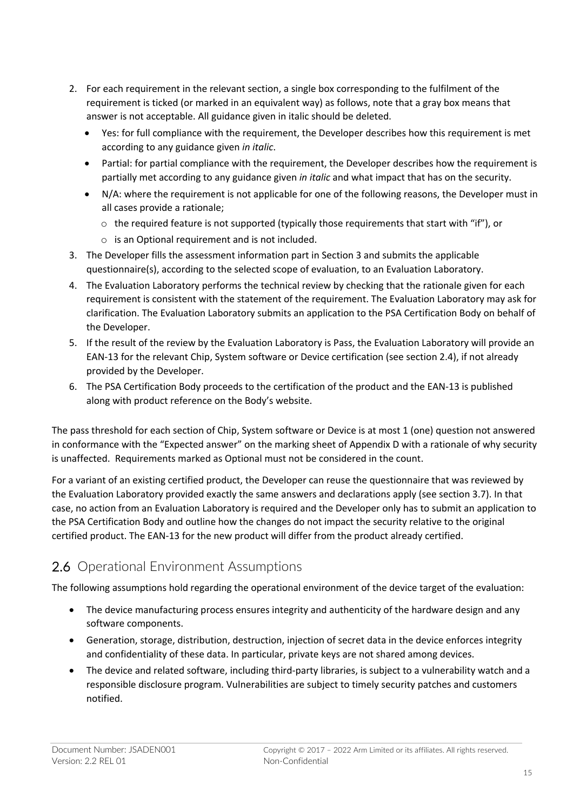- 2. For each requirement in the relevant section, a single box corresponding to the fulfilment of the requirement is ticked (or marked in an equivalent way) as follows, note that a gray box means that answer is not acceptable. All guidance given in italic should be deleted.
	- Yes: for full compliance with the requirement, the Developer describes how this requirement is met according to any guidance given *in italic*.
	- Partial: for partial compliance with the requirement, the Developer describes how the requirement is partially met according to any guidance given *in italic* and what impact that has on the security.
	- N/A: where the requirement is not applicable for one of the following reasons, the Developer must in all cases provide a rationale;
		- $\circ$  the required feature is not supported (typically those requirements that start with "if"), or
		- o is an Optional requirement and is not included.
- 3. The Developer fills the assessment information part in Section 3 and submits the applicable questionnaire(s), according to the selected scope of evaluation, to an Evaluation Laboratory.
- 4. The Evaluation Laboratory performs the technical review by checking that the rationale given for each requirement is consistent with the statement of the requirement. The Evaluation Laboratory may ask for clarification. The Evaluation Laboratory submits an application to the PSA Certification Body on behalf of the Developer.
- 5. If the result of the review by the Evaluation Laboratory is Pass, the Evaluation Laboratory will provide an EAN-13 for the relevant Chip, System software or Device certification (see section 2.4), if not already provided by the Developer.
- 6. The PSA Certification Body proceeds to the certification of the product and the EAN-13 is published along with product reference on the Body's website.

The pass threshold for each section of Chip, System software or Device is at most 1 (one) question not answered in conformance with the "Expected answer" on the marking sheet of Appendix D with a rationale of why security is unaffected. Requirements marked as Optional must not be considered in the count.

For a variant of an existing certified product, the Developer can reuse the questionnaire that was reviewed by the Evaluation Laboratory provided exactly the same answers and declarations apply (see section 3.7). In that case, no action from an Evaluation Laboratory is required and the Developer only has to submit an application to the PSA Certification Body and outline how the changes do not impact the security relative to the original certified product. The EAN-13 for the new product will differ from the product already certified.

## 2.6 Operational Environment Assumptions

The following assumptions hold regarding the operational environment of the device target of the evaluation:

- The device manufacturing process ensures integrity and authenticity of the hardware design and any software components.
- Generation, storage, distribution, destruction, injection of secret data in the device enforces integrity and confidentiality of these data. In particular, private keys are not shared among devices.
- The device and related software, including third-party libraries, is subject to a vulnerability watch and a responsible disclosure program. Vulnerabilities are subject to timely security patches and customers notified.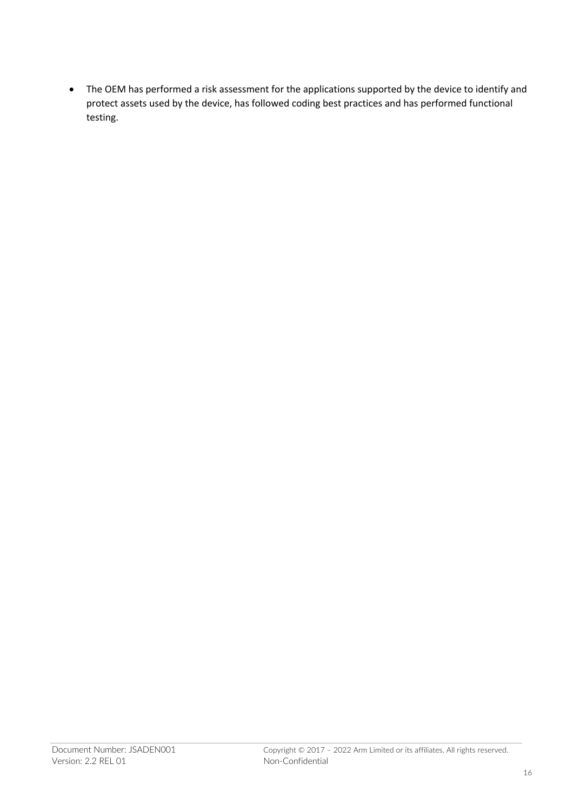• The OEM has performed a risk assessment for the applications supported by the device to identify and protect assets used by the device, has followed coding best practices and has performed functional testing.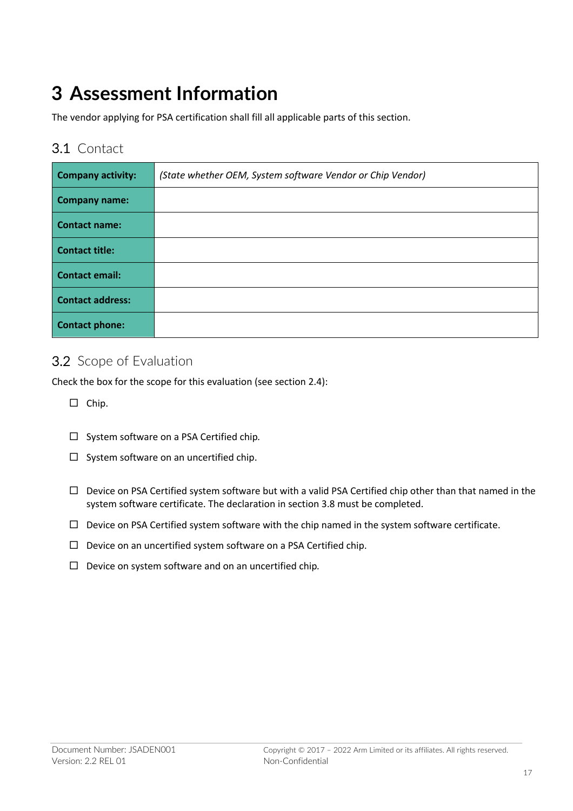## **3 Assessment Information**

The vendor applying for PSA certification shall fill all applicable parts of this section.

#### 3.1 Contact

| <b>Company activity:</b> | (State whether OEM, System software Vendor or Chip Vendor) |
|--------------------------|------------------------------------------------------------|
| <b>Company name:</b>     |                                                            |
| <b>Contact name:</b>     |                                                            |
| <b>Contact title:</b>    |                                                            |
| <b>Contact email:</b>    |                                                            |
| <b>Contact address:</b>  |                                                            |
| <b>Contact phone:</b>    |                                                            |

### 3.2 Scope of Evaluation

Check the box for the scope for this evaluation (see section 2.4):

- $\square$  Chip.
- ¨ System software on a PSA Certified chip*.*
- $\square$  System software on an uncertified chip.
- $\Box$  Device on PSA Certified system software but with a valid PSA Certified chip other than that named in the system software certificate. The declaration in section 3.8 must be completed.
- $\Box$  Device on PSA Certified system software with the chip named in the system software certificate.
- $\square$  Device on an uncertified system software on a PSA Certified chip.
- □ Device on system software and on an uncertified chip.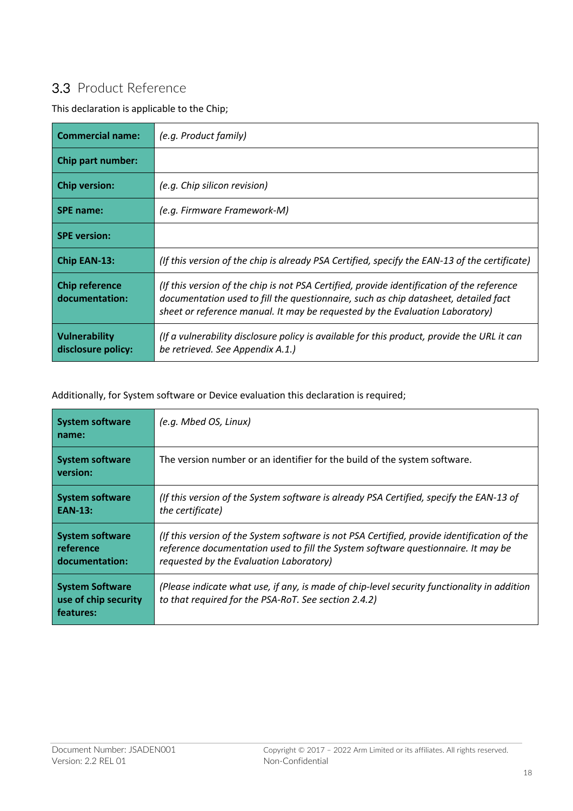## 3.3 Product Reference

This declaration is applicable to the Chip;

| <b>Commercial name:</b>                 | (e.g. Product family)                                                                                                                                                                                                                                             |
|-----------------------------------------|-------------------------------------------------------------------------------------------------------------------------------------------------------------------------------------------------------------------------------------------------------------------|
| Chip part number:                       |                                                                                                                                                                                                                                                                   |
| <b>Chip version:</b>                    | (e.g. Chip silicon revision)                                                                                                                                                                                                                                      |
| <b>SPE name:</b>                        | (e.g. Firmware Framework-M)                                                                                                                                                                                                                                       |
| <b>SPE</b> version:                     |                                                                                                                                                                                                                                                                   |
| <b>Chip EAN-13:</b>                     | (If this version of the chip is already PSA Certified, specify the EAN-13 of the certificate)                                                                                                                                                                     |
| <b>Chip reference</b><br>documentation: | (If this version of the chip is not PSA Certified, provide identification of the reference<br>documentation used to fill the questionnaire, such as chip datasheet, detailed fact<br>sheet or reference manual. It may be requested by the Evaluation Laboratory) |
| Vulnerability<br>disclosure policy:     | (If a vulnerability disclosure policy is available for this product, provide the URL it can<br>be retrieved. See Appendix A.1.)                                                                                                                                   |

Additionally, for System software or Device evaluation this declaration is required;

| <b>System software</b><br>name:                             | (e.g. Mbed OS, Linux)                                                                                                                                                                                                       |
|-------------------------------------------------------------|-----------------------------------------------------------------------------------------------------------------------------------------------------------------------------------------------------------------------------|
| <b>System software</b><br>version:                          | The version number or an identifier for the build of the system software.                                                                                                                                                   |
| <b>System software</b><br><b>EAN-13:</b>                    | (If this version of the System software is already PSA Certified, specify the EAN-13 of<br>the certificate)                                                                                                                 |
| <b>System software</b><br>reference<br>documentation:       | (If this version of the System software is not PSA Certified, provide identification of the<br>reference documentation used to fill the System software questionnaire. It may be<br>requested by the Evaluation Laboratory) |
| <b>System Software</b><br>use of chip security<br>features: | (Please indicate what use, if any, is made of chip-level security functionality in addition<br>to that required for the PSA-RoT. See section 2.4.2)                                                                         |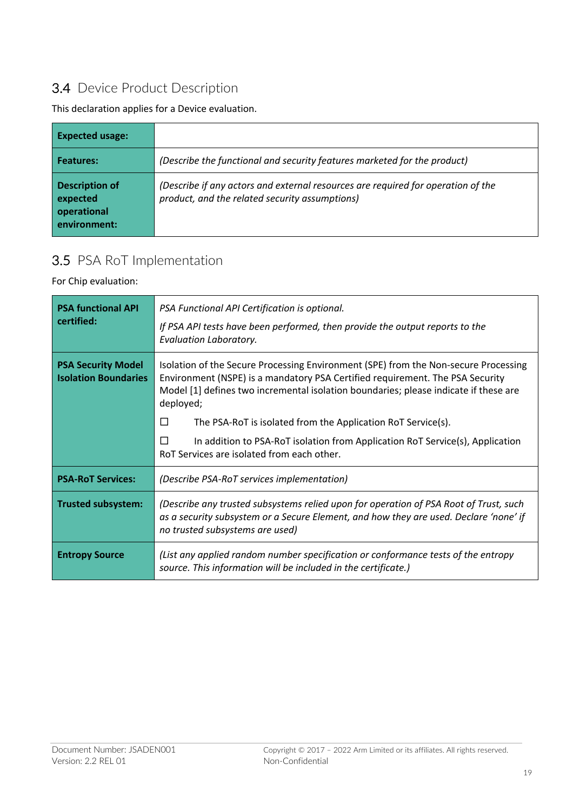## 3.4 Device Product Description

This declaration applies for a Device evaluation.

| <b>Expected usage:</b>                                           |                                                                                                                                    |
|------------------------------------------------------------------|------------------------------------------------------------------------------------------------------------------------------------|
| Features:                                                        | (Describe the functional and security features marketed for the product)                                                           |
| <b>Description of</b><br>expected<br>operational<br>environment: | (Describe if any actors and external resources are required for operation of the<br>product, and the related security assumptions) |

## 3.5 PSA RoT Implementation

For Chip evaluation:

| <b>PSA functional API</b><br>certified:                                                                                                                                                                                                        | PSA Functional API Certification is optional.<br>If PSA API tests have been performed, then provide the output reports to the<br>Evaluation Laboratory.                                                                                                                                                                                                                                                                                                                            |
|------------------------------------------------------------------------------------------------------------------------------------------------------------------------------------------------------------------------------------------------|------------------------------------------------------------------------------------------------------------------------------------------------------------------------------------------------------------------------------------------------------------------------------------------------------------------------------------------------------------------------------------------------------------------------------------------------------------------------------------|
| <b>PSA Security Model</b><br><b>Isolation Boundaries</b>                                                                                                                                                                                       | Isolation of the Secure Processing Environment (SPE) from the Non-secure Processing<br>Environment (NSPE) is a mandatory PSA Certified requirement. The PSA Security<br>Model [1] defines two incremental isolation boundaries; please indicate if these are<br>deployed;<br>П<br>The PSA-RoT is isolated from the Application RoT Service(s).<br>In addition to PSA-RoT isolation from Application RoT Service(s), Application<br>П<br>RoT Services are isolated from each other. |
| <b>PSA-RoT Services:</b>                                                                                                                                                                                                                       | (Describe PSA-RoT services implementation)                                                                                                                                                                                                                                                                                                                                                                                                                                         |
| <b>Trusted subsystem:</b><br>(Describe any trusted subsystems relied upon for operation of PSA Root of Trust, such<br>as a security subsystem or a Secure Element, and how they are used. Declare 'none' if<br>no trusted subsystems are used) |                                                                                                                                                                                                                                                                                                                                                                                                                                                                                    |
| <b>Entropy Source</b>                                                                                                                                                                                                                          | (List any applied random number specification or conformance tests of the entropy<br>source. This information will be included in the certificate.)                                                                                                                                                                                                                                                                                                                                |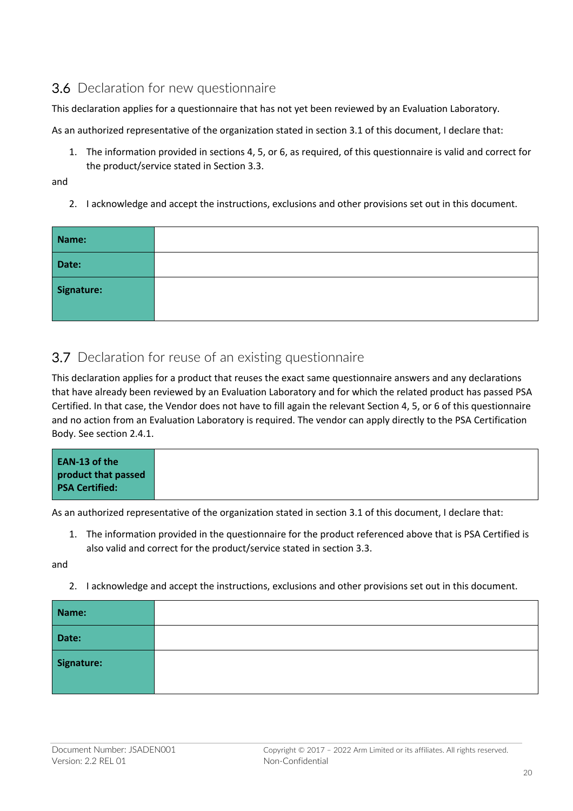### 3.6 Declaration for new questionnaire

This declaration applies for a questionnaire that has not yet been reviewed by an Evaluation Laboratory.

As an authorized representative of the organization stated in section 3.1 of this document, I declare that:

- 1. The information provided in sections 4, 5, or 6, as required, of this questionnaire is valid and correct for the product/service stated in Section 3.3.
- and
	- 2. I acknowledge and accept the instructions, exclusions and other provisions set out in this document.

| Name:      |  |
|------------|--|
| Date:      |  |
| Signature: |  |

#### 3.7 Declaration for reuse of an existing questionnaire

This declaration applies for a product that reuses the exact same questionnaire answers and any declarations that have already been reviewed by an Evaluation Laboratory and for which the related product has passed PSA Certified. In that case, the Vendor does not have to fill again the relevant Section 4, 5, or 6 of this questionnaire and no action from an Evaluation Laboratory is required. The vendor can apply directly to the PSA Certification Body. See section 2.4.1.

|--|

As an authorized representative of the organization stated in section 3.1 of this document, I declare that:

1. The information provided in the questionnaire for the product referenced above that is PSA Certified is also valid and correct for the product/service stated in section 3.3.

and

2. I acknowledge and accept the instructions, exclusions and other provisions set out in this document.

| Name:      |  |
|------------|--|
| Date:      |  |
| Signature: |  |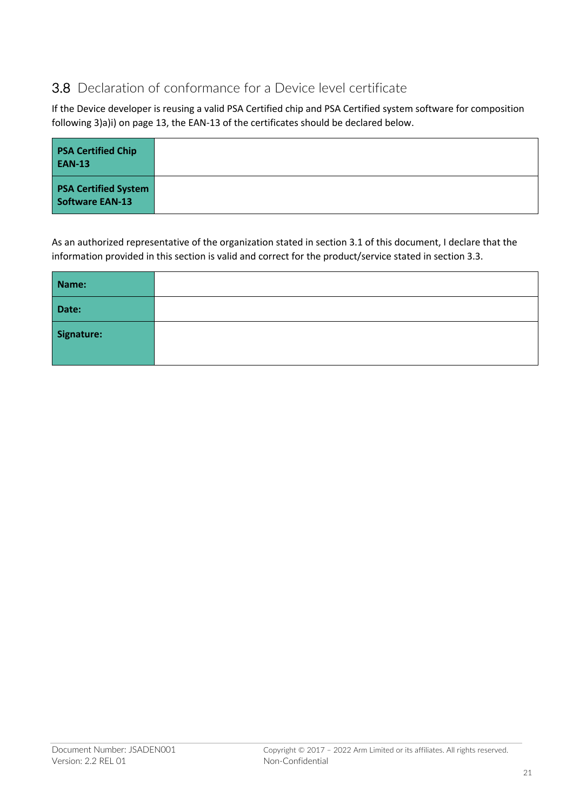## 3.8 Declaration of conformance for a Device level certificate

If the Device developer is reusing a valid PSA Certified chip and PSA Certified system software for composition following 3)a)i) on page 13, the EAN-13 of the certificates should be declared below.

| <b>PSA Certified Chip</b><br><b>EAN-13</b>            |  |
|-------------------------------------------------------|--|
| <b>PSA Certified System</b><br><b>Software EAN-13</b> |  |

As an authorized representative of the organization stated in section 3.1 of this document, I declare that the information provided in this section is valid and correct for the product/service stated in section 3.3.

| Name:      |  |
|------------|--|
| Date:      |  |
| Signature: |  |
|            |  |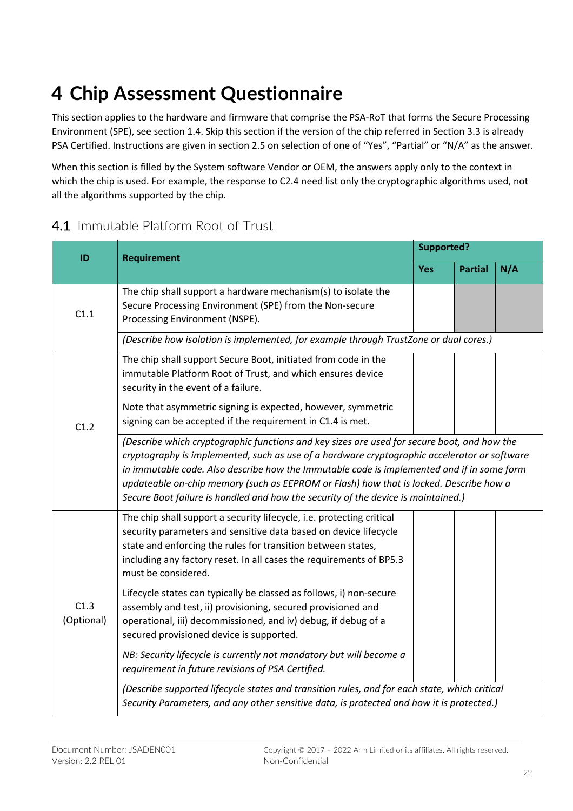# **4 Chip Assessment Questionnaire**

This section applies to the hardware and firmware that comprise the PSA-RoT that forms the Secure Processing Environment (SPE), see section 1.4. Skip this section if the version of the chip referred in Section 3.3 is already PSA Certified. Instructions are given in section 2.5 on selection of one of "Yes", "Partial" or "N/A" as the answer.

When this section is filled by the System software Vendor or OEM, the answers apply only to the context in which the chip is used. For example, the response to C2.4 need list only the cryptographic algorithms used, not all the algorithms supported by the chip.

### 4.1 Immutable Platform Root of Trust

| ID                 | <b>Requirement</b>                                                                                                                                                                                                                                                                                                                                                                                                                                                       | Supported? |                |     |  |
|--------------------|--------------------------------------------------------------------------------------------------------------------------------------------------------------------------------------------------------------------------------------------------------------------------------------------------------------------------------------------------------------------------------------------------------------------------------------------------------------------------|------------|----------------|-----|--|
|                    |                                                                                                                                                                                                                                                                                                                                                                                                                                                                          | <b>Yes</b> | <b>Partial</b> | N/A |  |
| C1.1               | The chip shall support a hardware mechanism(s) to isolate the<br>Secure Processing Environment (SPE) from the Non-secure<br>Processing Environment (NSPE).                                                                                                                                                                                                                                                                                                               |            |                |     |  |
|                    | (Describe how isolation is implemented, for example through TrustZone or dual cores.)                                                                                                                                                                                                                                                                                                                                                                                    |            |                |     |  |
| C1.2               | The chip shall support Secure Boot, initiated from code in the<br>immutable Platform Root of Trust, and which ensures device<br>security in the event of a failure.                                                                                                                                                                                                                                                                                                      |            |                |     |  |
|                    | Note that asymmetric signing is expected, however, symmetric<br>signing can be accepted if the requirement in C1.4 is met.                                                                                                                                                                                                                                                                                                                                               |            |                |     |  |
|                    | (Describe which cryptographic functions and key sizes are used for secure boot, and how the<br>cryptography is implemented, such as use of a hardware cryptographic accelerator or software<br>in immutable code. Also describe how the Immutable code is implemented and if in some form<br>updateable on-chip memory (such as EEPROM or Flash) how that is locked. Describe how a<br>Secure Boot failure is handled and how the security of the device is maintained.) |            |                |     |  |
| C1.3<br>(Optional) | The chip shall support a security lifecycle, i.e. protecting critical<br>security parameters and sensitive data based on device lifecycle<br>state and enforcing the rules for transition between states,<br>including any factory reset. In all cases the requirements of BP5.3<br>must be considered.                                                                                                                                                                  |            |                |     |  |
|                    | Lifecycle states can typically be classed as follows, i) non-secure<br>assembly and test, ii) provisioning, secured provisioned and<br>operational, iii) decommissioned, and iv) debug, if debug of a<br>secured provisioned device is supported.                                                                                                                                                                                                                        |            |                |     |  |
|                    | NB: Security lifecycle is currently not mandatory but will become a<br>requirement in future revisions of PSA Certified.                                                                                                                                                                                                                                                                                                                                                 |            |                |     |  |
|                    | (Describe supported lifecycle states and transition rules, and for each state, which critical<br>Security Parameters, and any other sensitive data, is protected and how it is protected.)                                                                                                                                                                                                                                                                               |            |                |     |  |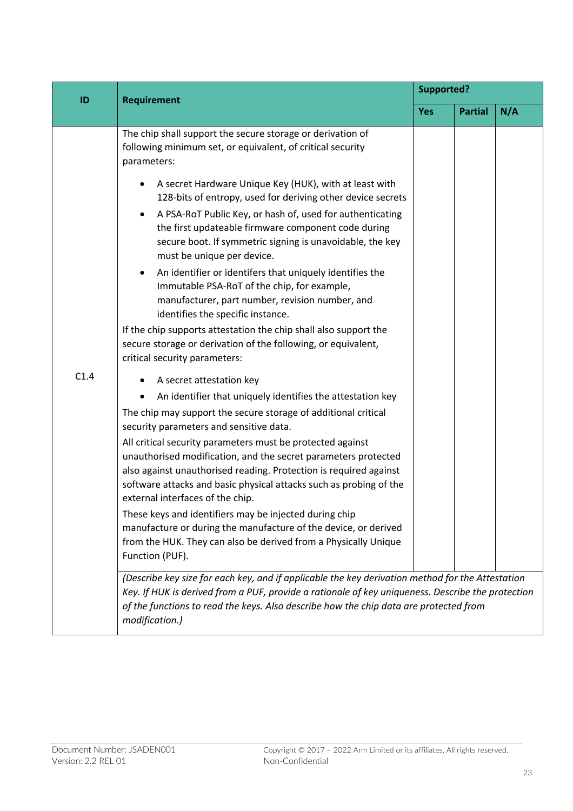| ID   | <b>Requirement</b>                                                                                                                                                                                                                                                                                                                                     | <b>Supported?</b> |                |     |  |
|------|--------------------------------------------------------------------------------------------------------------------------------------------------------------------------------------------------------------------------------------------------------------------------------------------------------------------------------------------------------|-------------------|----------------|-----|--|
|      |                                                                                                                                                                                                                                                                                                                                                        | <b>Yes</b>        | <b>Partial</b> | N/A |  |
|      | The chip shall support the secure storage or derivation of<br>following minimum set, or equivalent, of critical security<br>parameters:                                                                                                                                                                                                                |                   |                |     |  |
|      | A secret Hardware Unique Key (HUK), with at least with<br>٠<br>128-bits of entropy, used for deriving other device secrets<br>A PSA-RoT Public Key, or hash of, used for authenticating<br>$\bullet$<br>the first updateable firmware component code during<br>secure boot. If symmetric signing is unavoidable, the key<br>must be unique per device. |                   |                |     |  |
|      | An identifier or identifers that uniquely identifies the<br>$\bullet$<br>Immutable PSA-RoT of the chip, for example,<br>manufacturer, part number, revision number, and<br>identifies the specific instance.                                                                                                                                           |                   |                |     |  |
|      | If the chip supports attestation the chip shall also support the<br>secure storage or derivation of the following, or equivalent,<br>critical security parameters:                                                                                                                                                                                     |                   |                |     |  |
| C1.4 | A secret attestation key                                                                                                                                                                                                                                                                                                                               |                   |                |     |  |
|      | An identifier that uniquely identifies the attestation key<br>$\bullet$                                                                                                                                                                                                                                                                                |                   |                |     |  |
|      | The chip may support the secure storage of additional critical<br>security parameters and sensitive data.                                                                                                                                                                                                                                              |                   |                |     |  |
|      | All critical security parameters must be protected against                                                                                                                                                                                                                                                                                             |                   |                |     |  |
|      | unauthorised modification, and the secret parameters protected<br>also against unauthorised reading. Protection is required against                                                                                                                                                                                                                    |                   |                |     |  |
|      | software attacks and basic physical attacks such as probing of the<br>external interfaces of the chip.                                                                                                                                                                                                                                                 |                   |                |     |  |
|      | These keys and identifiers may be injected during chip<br>manufacture or during the manufacture of the device, or derived<br>from the HUK. They can also be derived from a Physically Unique<br>Function (PUF).                                                                                                                                        |                   |                |     |  |
|      | (Describe key size for each key, and if applicable the key derivation method for the Attestation<br>Key. If HUK is derived from a PUF, provide a rationale of key uniqueness. Describe the protection<br>of the functions to read the keys. Also describe how the chip data are protected from<br>modification.)                                       |                   |                |     |  |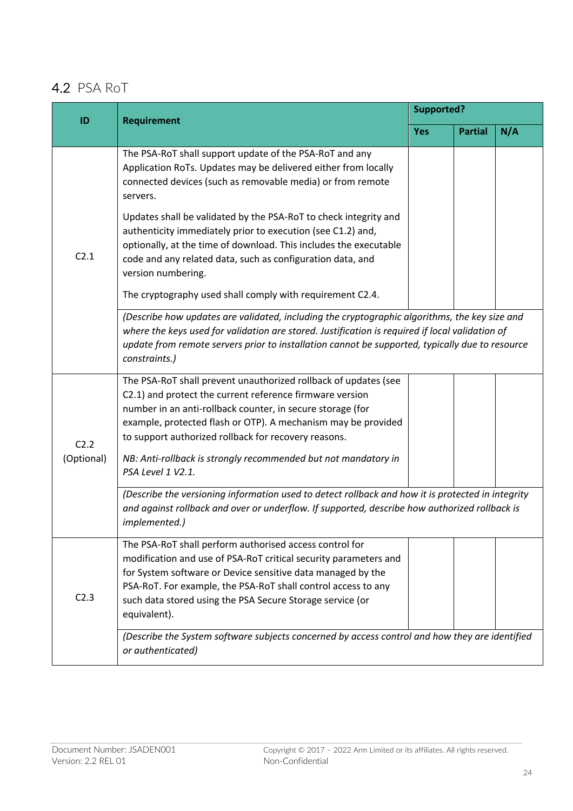## 4.2 PSA RoT

| ID                 | <b>Requirement</b>                                                                                                                                                                                                                                                                                                                                                                                        | <b>Supported?</b> |                |     |
|--------------------|-----------------------------------------------------------------------------------------------------------------------------------------------------------------------------------------------------------------------------------------------------------------------------------------------------------------------------------------------------------------------------------------------------------|-------------------|----------------|-----|
|                    |                                                                                                                                                                                                                                                                                                                                                                                                           | <b>Yes</b>        | <b>Partial</b> | N/A |
| C2.1               | The PSA-RoT shall support update of the PSA-RoT and any<br>Application RoTs. Updates may be delivered either from locally<br>connected devices (such as removable media) or from remote<br>servers.                                                                                                                                                                                                       |                   |                |     |
|                    | Updates shall be validated by the PSA-RoT to check integrity and<br>authenticity immediately prior to execution (see C1.2) and,<br>optionally, at the time of download. This includes the executable<br>code and any related data, such as configuration data, and<br>version numbering.                                                                                                                  |                   |                |     |
|                    | The cryptography used shall comply with requirement C2.4.                                                                                                                                                                                                                                                                                                                                                 |                   |                |     |
|                    | (Describe how updates are validated, including the cryptographic algorithms, the key size and<br>where the keys used for validation are stored. Justification is required if local validation of<br>update from remote servers prior to installation cannot be supported, typically due to resource<br>constraints.)                                                                                      |                   |                |     |
| C2.2<br>(Optional) | The PSA-RoT shall prevent unauthorized rollback of updates (see<br>C2.1) and protect the current reference firmware version<br>number in an anti-rollback counter, in secure storage (for<br>example, protected flash or OTP). A mechanism may be provided<br>to support authorized rollback for recovery reasons.<br>NB: Anti-rollback is strongly recommended but not mandatory in<br>PSA Level 1 V2.1. |                   |                |     |
|                    | (Describe the versioning information used to detect rollback and how it is protected in integrity<br>and against rollback and over or underflow. If supported, describe how authorized rollback is<br>implemented.)                                                                                                                                                                                       |                   |                |     |
| C <sub>2.3</sub>   | The PSA-RoT shall perform authorised access control for<br>modification and use of PSA-RoT critical security parameters and<br>for System software or Device sensitive data managed by the<br>PSA-RoT. For example, the PSA-RoT shall control access to any<br>such data stored using the PSA Secure Storage service (or<br>equivalent).                                                                  |                   |                |     |
|                    | (Describe the System software subjects concerned by access control and how they are identified<br>or authenticated)                                                                                                                                                                                                                                                                                       |                   |                |     |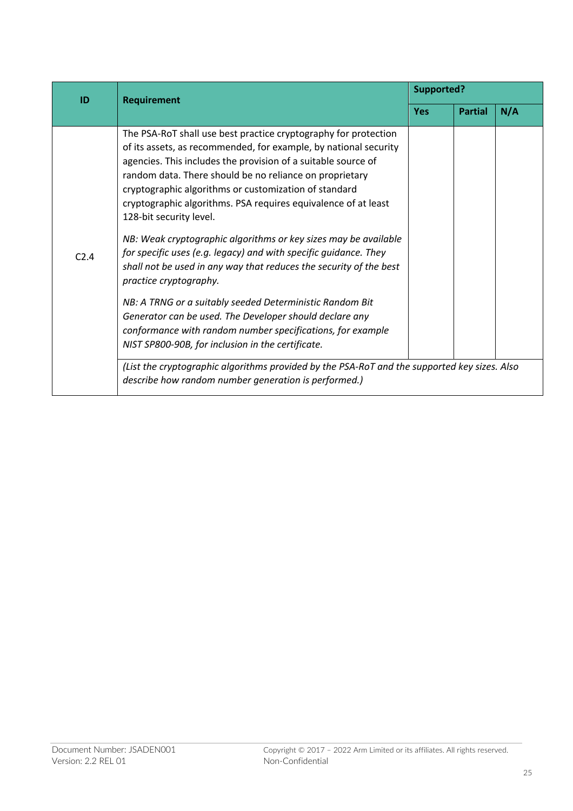| ID   | <b>Requirement</b>                                                                                                                                                                                                                                                                                                                                                                                                                                                                                                                                                                                                                                                                                                                                                                                                                                                                                                                                                                                                                                             | <b>Supported?</b> |                |     |
|------|----------------------------------------------------------------------------------------------------------------------------------------------------------------------------------------------------------------------------------------------------------------------------------------------------------------------------------------------------------------------------------------------------------------------------------------------------------------------------------------------------------------------------------------------------------------------------------------------------------------------------------------------------------------------------------------------------------------------------------------------------------------------------------------------------------------------------------------------------------------------------------------------------------------------------------------------------------------------------------------------------------------------------------------------------------------|-------------------|----------------|-----|
|      |                                                                                                                                                                                                                                                                                                                                                                                                                                                                                                                                                                                                                                                                                                                                                                                                                                                                                                                                                                                                                                                                | <b>Yes</b>        | <b>Partial</b> | N/A |
| C2.4 | The PSA-RoT shall use best practice cryptography for protection<br>of its assets, as recommended, for example, by national security<br>agencies. This includes the provision of a suitable source of<br>random data. There should be no reliance on proprietary<br>cryptographic algorithms or customization of standard<br>cryptographic algorithms. PSA requires equivalence of at least<br>128-bit security level.<br>NB: Weak cryptographic algorithms or key sizes may be available<br>for specific uses (e.g. legacy) and with specific guidance. They<br>shall not be used in any way that reduces the security of the best<br>practice cryptography.<br>NB: A TRNG or a suitably seeded Deterministic Random Bit<br>Generator can be used. The Developer should declare any<br>conformance with random number specifications, for example<br>NIST SP800-90B, for inclusion in the certificate.<br>(List the cryptographic algorithms provided by the PSA-RoT and the supported key sizes. Also<br>describe how random number generation is performed.) |                   |                |     |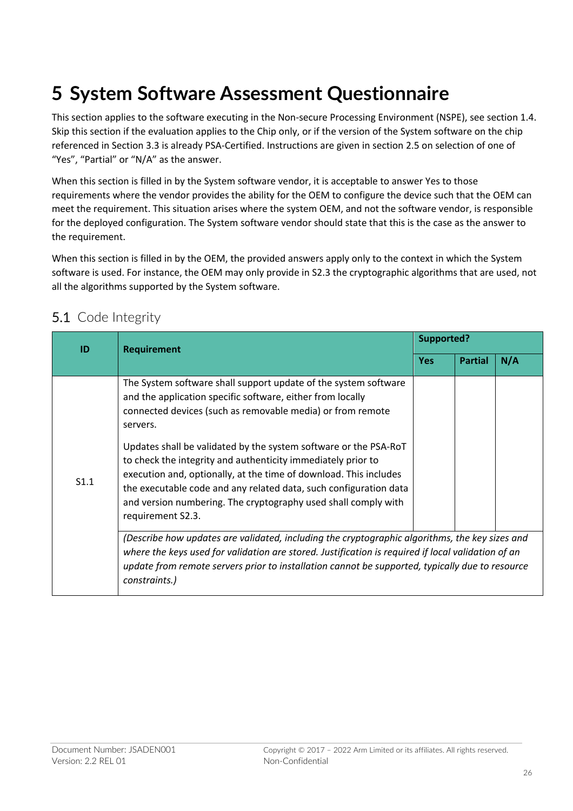# **5 System Software Assessment Questionnaire**

This section applies to the software executing in the Non-secure Processing Environment (NSPE), see section 1.4. Skip this section if the evaluation applies to the Chip only, or if the version of the System software on the chip referenced in Section 3.3 is already PSA-Certified. Instructions are given in section 2.5 on selection of one of "Yes", "Partial" or "N/A" as the answer.

When this section is filled in by the System software vendor, it is acceptable to answer Yes to those requirements where the vendor provides the ability for the OEM to configure the device such that the OEM can meet the requirement. This situation arises where the system OEM, and not the software vendor, is responsible for the deployed configuration. The System software vendor should state that this is the case as the answer to the requirement.

When this section is filled in by the OEM, the provided answers apply only to the context in which the System software is used. For instance, the OEM may only provide in S2.3 the cryptographic algorithms that are used, not all the algorithms supported by the System software.

## 5.1 Code Integrity

| ID   | <b>Requirement</b>                                                                                                                                                                                                                                                                                                                                                                                                                                                                                                                                                           | Supported? |                |     |
|------|------------------------------------------------------------------------------------------------------------------------------------------------------------------------------------------------------------------------------------------------------------------------------------------------------------------------------------------------------------------------------------------------------------------------------------------------------------------------------------------------------------------------------------------------------------------------------|------------|----------------|-----|
|      |                                                                                                                                                                                                                                                                                                                                                                                                                                                                                                                                                                              | <b>Yes</b> | <b>Partial</b> | N/A |
| S1.1 | The System software shall support update of the system software<br>and the application specific software, either from locally<br>connected devices (such as removable media) or from remote<br>servers.<br>Updates shall be validated by the system software or the PSA-RoT<br>to check the integrity and authenticity immediately prior to<br>execution and, optionally, at the time of download. This includes<br>the executable code and any related data, such configuration data<br>and version numbering. The cryptography used shall comply with<br>requirement S2.3. |            |                |     |
|      | (Describe how updates are validated, including the cryptographic algorithms, the key sizes and<br>where the keys used for validation are stored. Justification is required if local validation of an<br>update from remote servers prior to installation cannot be supported, typically due to resource<br>constraints.)                                                                                                                                                                                                                                                     |            |                |     |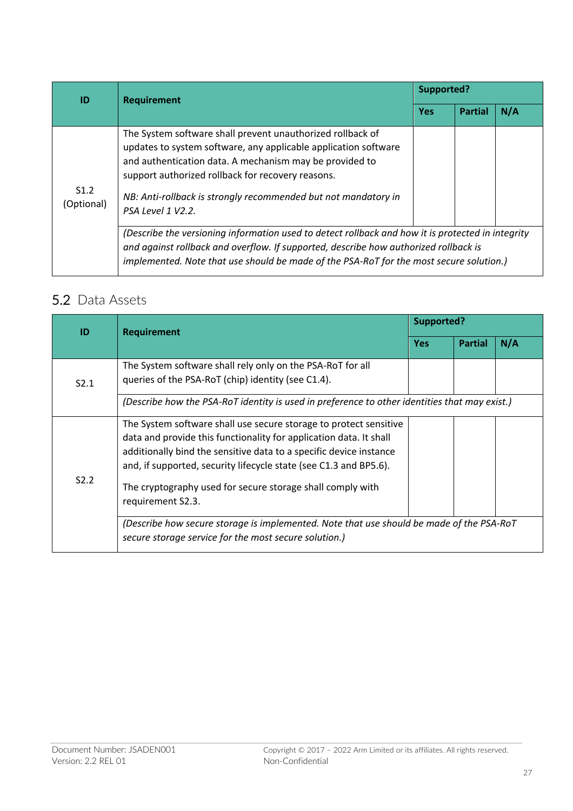| ID                             | <b>Requirement</b>                                                                                                                                                                                                                                                                                                                   | Supported? |                       |  |  |
|--------------------------------|--------------------------------------------------------------------------------------------------------------------------------------------------------------------------------------------------------------------------------------------------------------------------------------------------------------------------------------|------------|-----------------------|--|--|
|                                |                                                                                                                                                                                                                                                                                                                                      | <b>Yes</b> | N/A<br><b>Partial</b> |  |  |
| S <sub>1.2</sub><br>(Optional) | The System software shall prevent unauthorized rollback of<br>updates to system software, any applicable application software<br>and authentication data. A mechanism may be provided to<br>support authorized rollback for recovery reasons.<br>NB: Anti-rollback is strongly recommended but not mandatory in<br>PSA Level 1 V2.2. |            |                       |  |  |
|                                | (Describe the versioning information used to detect rollback and how it is protected in integrity<br>and against rollback and overflow. If supported, describe how authorized rollback is<br>implemented. Note that use should be made of the PSA-RoT for the most secure solution.)                                                 |            |                       |  |  |

## 5.2 Data Assets

| ID                                                                                                                                                                                                                                                                                                                                                                            | <b>Requirement</b>                                                                                                                                | Supported? |                       |  |  |  |
|-------------------------------------------------------------------------------------------------------------------------------------------------------------------------------------------------------------------------------------------------------------------------------------------------------------------------------------------------------------------------------|---------------------------------------------------------------------------------------------------------------------------------------------------|------------|-----------------------|--|--|--|
|                                                                                                                                                                                                                                                                                                                                                                               |                                                                                                                                                   | <b>Yes</b> | N/A<br><b>Partial</b> |  |  |  |
| S2.1                                                                                                                                                                                                                                                                                                                                                                          | The System software shall rely only on the PSA-RoT for all<br>queries of the PSA-RoT (chip) identity (see C1.4).                                  |            |                       |  |  |  |
|                                                                                                                                                                                                                                                                                                                                                                               | (Describe how the PSA-RoT identity is used in preference to other identities that may exist.)                                                     |            |                       |  |  |  |
| The System software shall use secure storage to protect sensitive<br>data and provide this functionality for application data. It shall<br>additionally bind the sensitive data to a specific device instance<br>and, if supported, security lifecycle state (see C1.3 and BP5.6).<br>S2.2<br>The cryptography used for secure storage shall comply with<br>requirement S2.3. |                                                                                                                                                   |            |                       |  |  |  |
|                                                                                                                                                                                                                                                                                                                                                                               | (Describe how secure storage is implemented. Note that use should be made of the PSA-RoT<br>secure storage service for the most secure solution.) |            |                       |  |  |  |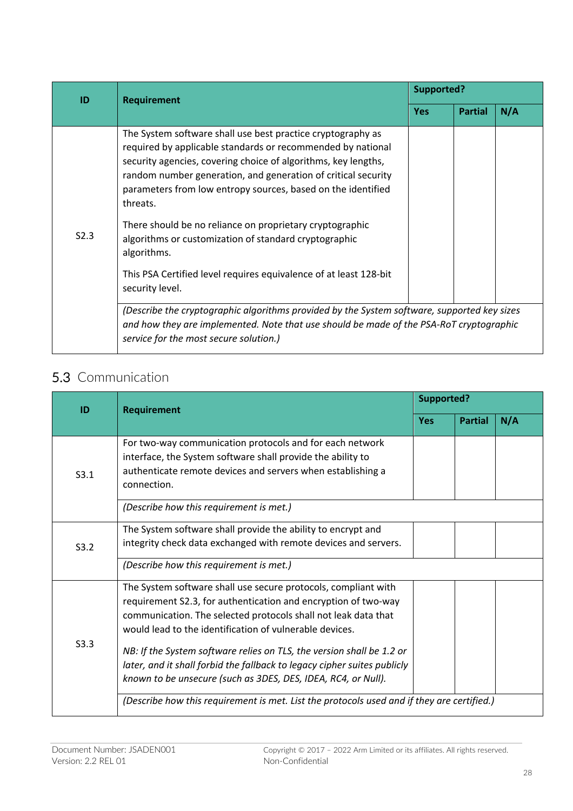| ID   | <b>Requirement</b>                                                                                                                                                                                                                                                                                                                                                                                                                                                                                                                                                                                                                                                                                                                                              | Supported? |                       |  |
|------|-----------------------------------------------------------------------------------------------------------------------------------------------------------------------------------------------------------------------------------------------------------------------------------------------------------------------------------------------------------------------------------------------------------------------------------------------------------------------------------------------------------------------------------------------------------------------------------------------------------------------------------------------------------------------------------------------------------------------------------------------------------------|------------|-----------------------|--|
|      |                                                                                                                                                                                                                                                                                                                                                                                                                                                                                                                                                                                                                                                                                                                                                                 | <b>Yes</b> | N/A<br><b>Partial</b> |  |
| S2.3 | The System software shall use best practice cryptography as<br>required by applicable standards or recommended by national<br>security agencies, covering choice of algorithms, key lengths,<br>random number generation, and generation of critical security<br>parameters from low entropy sources, based on the identified<br>threats.<br>There should be no reliance on proprietary cryptographic<br>algorithms or customization of standard cryptographic<br>algorithms.<br>This PSA Certified level requires equivalence of at least 128-bit<br>security level.<br>(Describe the cryptographic algorithms provided by the System software, supported key sizes<br>and how they are implemented. Note that use should be made of the PSA-RoT cryptographic |            |                       |  |
|      | service for the most secure solution.)                                                                                                                                                                                                                                                                                                                                                                                                                                                                                                                                                                                                                                                                                                                          |            |                       |  |

## 5.3 Communication

| ID   | <b>Requirement</b>                                                                                                                                                                                                                                                                                                                                                                                                                                                                  | <b>Supported?</b> |                |     |
|------|-------------------------------------------------------------------------------------------------------------------------------------------------------------------------------------------------------------------------------------------------------------------------------------------------------------------------------------------------------------------------------------------------------------------------------------------------------------------------------------|-------------------|----------------|-----|
|      |                                                                                                                                                                                                                                                                                                                                                                                                                                                                                     | <b>Yes</b>        | <b>Partial</b> | N/A |
| S3.1 | For two-way communication protocols and for each network<br>interface, the System software shall provide the ability to<br>authenticate remote devices and servers when establishing a<br>connection.                                                                                                                                                                                                                                                                               |                   |                |     |
|      | (Describe how this requirement is met.)                                                                                                                                                                                                                                                                                                                                                                                                                                             |                   |                |     |
| S3.2 | The System software shall provide the ability to encrypt and<br>integrity check data exchanged with remote devices and servers.                                                                                                                                                                                                                                                                                                                                                     |                   |                |     |
|      | (Describe how this requirement is met.)                                                                                                                                                                                                                                                                                                                                                                                                                                             |                   |                |     |
| S3.3 | The System software shall use secure protocols, compliant with<br>requirement S2.3, for authentication and encryption of two-way<br>communication. The selected protocols shall not leak data that<br>would lead to the identification of vulnerable devices.<br>NB: If the System software relies on TLS, the version shall be 1.2 or<br>later, and it shall forbid the fallback to legacy cipher suites publicly<br>known to be unsecure (such as 3DES, DES, IDEA, RC4, or Null). |                   |                |     |
|      | (Describe how this requirement is met. List the protocols used and if they are certified.)                                                                                                                                                                                                                                                                                                                                                                                          |                   |                |     |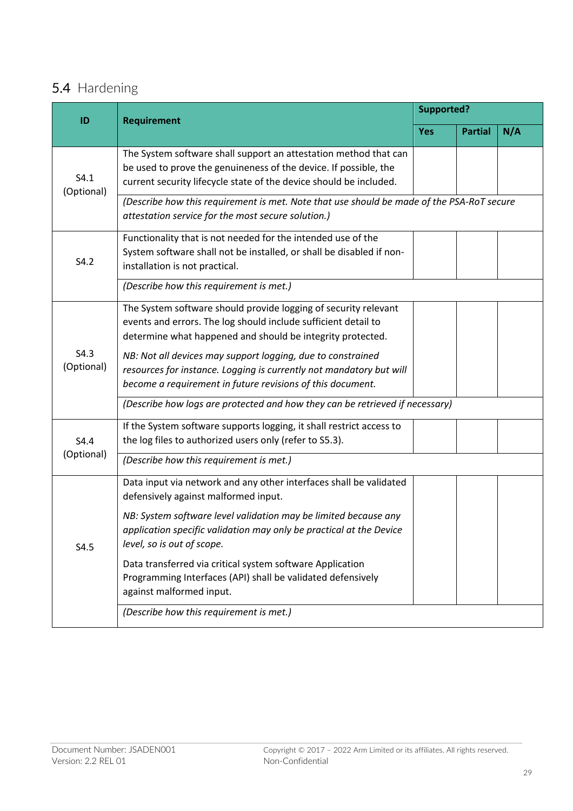## 5.4 Hardening

| ID                 | <b>Requirement</b>                                                                                                                                                                                                                                                                                                                                                                                             | <b>Supported?</b> |                |     |  |
|--------------------|----------------------------------------------------------------------------------------------------------------------------------------------------------------------------------------------------------------------------------------------------------------------------------------------------------------------------------------------------------------------------------------------------------------|-------------------|----------------|-----|--|
|                    |                                                                                                                                                                                                                                                                                                                                                                                                                | <b>Yes</b>        | <b>Partial</b> | N/A |  |
| S4.1<br>(Optional) | The System software shall support an attestation method that can<br>be used to prove the genuineness of the device. If possible, the<br>current security lifecycle state of the device should be included.                                                                                                                                                                                                     |                   |                |     |  |
|                    | (Describe how this requirement is met. Note that use should be made of the PSA-RoT secure<br>attestation service for the most secure solution.)                                                                                                                                                                                                                                                                |                   |                |     |  |
| S4.2               | Functionality that is not needed for the intended use of the<br>System software shall not be installed, or shall be disabled if non-<br>installation is not practical.                                                                                                                                                                                                                                         |                   |                |     |  |
|                    | (Describe how this requirement is met.)                                                                                                                                                                                                                                                                                                                                                                        |                   |                |     |  |
| S4.3<br>(Optional) | The System software should provide logging of security relevant<br>events and errors. The log should include sufficient detail to<br>determine what happened and should be integrity protected.<br>NB: Not all devices may support logging, due to constrained<br>resources for instance. Logging is currently not mandatory but will<br>become a requirement in future revisions of this document.            |                   |                |     |  |
|                    | (Describe how logs are protected and how they can be retrieved if necessary)                                                                                                                                                                                                                                                                                                                                   |                   |                |     |  |
| S4.4<br>(Optional) | If the System software supports logging, it shall restrict access to<br>the log files to authorized users only (refer to S5.3).                                                                                                                                                                                                                                                                                |                   |                |     |  |
|                    | (Describe how this requirement is met.)                                                                                                                                                                                                                                                                                                                                                                        |                   |                |     |  |
| S4.5               | Data input via network and any other interfaces shall be validated<br>defensively against malformed input.<br>NB: System software level validation may be limited because any<br>application specific validation may only be practical at the Device<br>level, so is out of scope.<br>Data transferred via critical system software Application<br>Programming Interfaces (API) shall be validated defensively |                   |                |     |  |
|                    | against malformed input.<br>(Describe how this requirement is met.)                                                                                                                                                                                                                                                                                                                                            |                   |                |     |  |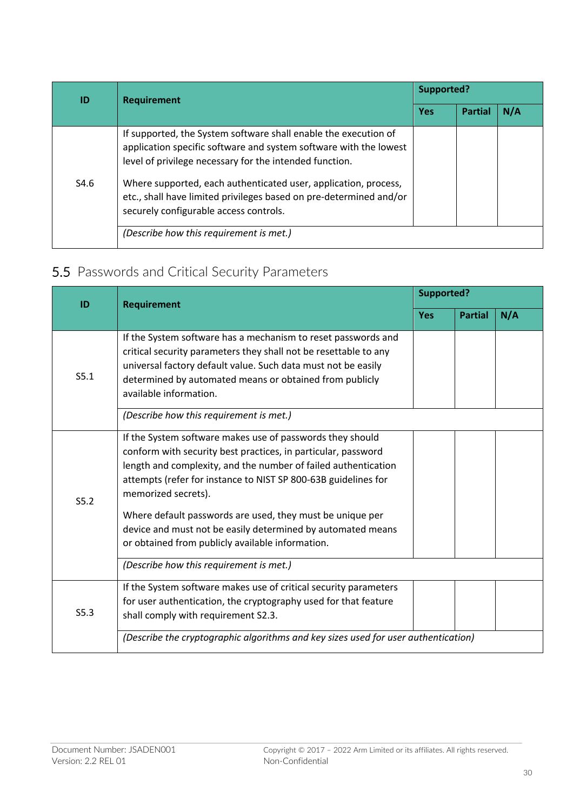| ID   | <b>Requirement</b>                                                                                                                                                                                                                                                                                                                                                                 | Supported? |                |  |
|------|------------------------------------------------------------------------------------------------------------------------------------------------------------------------------------------------------------------------------------------------------------------------------------------------------------------------------------------------------------------------------------|------------|----------------|--|
|      |                                                                                                                                                                                                                                                                                                                                                                                    | <b>Yes</b> | N/A<br>Partial |  |
| S4.6 | If supported, the System software shall enable the execution of<br>application specific software and system software with the lowest<br>level of privilege necessary for the intended function.<br>Where supported, each authenticated user, application, process,<br>etc., shall have limited privileges based on pre-determined and/or<br>securely configurable access controls. |            |                |  |
|      | (Describe how this requirement is met.)                                                                                                                                                                                                                                                                                                                                            |            |                |  |

## 5.5 Passwords and Critical Security Parameters

| ID   | <b>Requirement</b>                                                                                                                                                                                                                                                                                                                                                                                                                                                    | <b>Supported?</b> |                       |  |
|------|-----------------------------------------------------------------------------------------------------------------------------------------------------------------------------------------------------------------------------------------------------------------------------------------------------------------------------------------------------------------------------------------------------------------------------------------------------------------------|-------------------|-----------------------|--|
|      |                                                                                                                                                                                                                                                                                                                                                                                                                                                                       | <b>Yes</b>        | N/A<br><b>Partial</b> |  |
| S5.1 | If the System software has a mechanism to reset passwords and<br>critical security parameters they shall not be resettable to any<br>universal factory default value. Such data must not be easily<br>determined by automated means or obtained from publicly<br>available information.                                                                                                                                                                               |                   |                       |  |
|      | (Describe how this requirement is met.)                                                                                                                                                                                                                                                                                                                                                                                                                               |                   |                       |  |
| S5.2 | If the System software makes use of passwords they should<br>conform with security best practices, in particular, password<br>length and complexity, and the number of failed authentication<br>attempts (refer for instance to NIST SP 800-63B guidelines for<br>memorized secrets).<br>Where default passwords are used, they must be unique per<br>device and must not be easily determined by automated means<br>or obtained from publicly available information. |                   |                       |  |
|      | (Describe how this requirement is met.)                                                                                                                                                                                                                                                                                                                                                                                                                               |                   |                       |  |
| S5.3 | If the System software makes use of critical security parameters<br>for user authentication, the cryptography used for that feature<br>shall comply with requirement S2.3.                                                                                                                                                                                                                                                                                            |                   |                       |  |
|      | (Describe the cryptographic algorithms and key sizes used for user authentication)                                                                                                                                                                                                                                                                                                                                                                                    |                   |                       |  |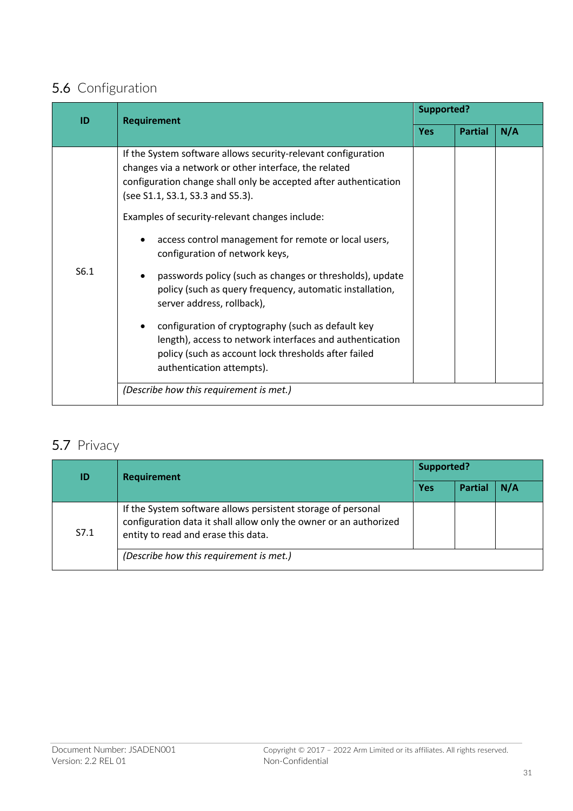## 5.6 Configuration

| ID   | <b>Requirement</b>                                                                                                                                                                                                                                                                                                                                                                                                                                                                                                                                                                                                                                                                                                                      | <b>Supported?</b> |                |     |
|------|-----------------------------------------------------------------------------------------------------------------------------------------------------------------------------------------------------------------------------------------------------------------------------------------------------------------------------------------------------------------------------------------------------------------------------------------------------------------------------------------------------------------------------------------------------------------------------------------------------------------------------------------------------------------------------------------------------------------------------------------|-------------------|----------------|-----|
|      |                                                                                                                                                                                                                                                                                                                                                                                                                                                                                                                                                                                                                                                                                                                                         | <b>Yes</b>        | <b>Partial</b> | N/A |
| S6.1 | If the System software allows security-relevant configuration<br>changes via a network or other interface, the related<br>configuration change shall only be accepted after authentication<br>(see S1.1, S3.1, S3.3 and S5.3).<br>Examples of security-relevant changes include:<br>access control management for remote or local users,<br>configuration of network keys,<br>passwords policy (such as changes or thresholds), update<br>policy (such as query frequency, automatic installation,<br>server address, rollback),<br>configuration of cryptography (such as default key<br>length), access to network interfaces and authentication<br>policy (such as account lock thresholds after failed<br>authentication attempts). |                   |                |     |
|      | (Describe how this requirement is met.)                                                                                                                                                                                                                                                                                                                                                                                                                                                                                                                                                                                                                                                                                                 |                   |                |     |

## 5.7 Privacy

| ID   | <b>Requirement</b>                                                                                                                                                       | Supported?                  |  |  |
|------|--------------------------------------------------------------------------------------------------------------------------------------------------------------------------|-----------------------------|--|--|
|      |                                                                                                                                                                          | <b>Yes</b><br>N/A<br>Partia |  |  |
| S7.1 | If the System software allows persistent storage of personal<br>configuration data it shall allow only the owner or an authorized<br>entity to read and erase this data. |                             |  |  |
|      | (Describe how this requirement is met.)                                                                                                                                  |                             |  |  |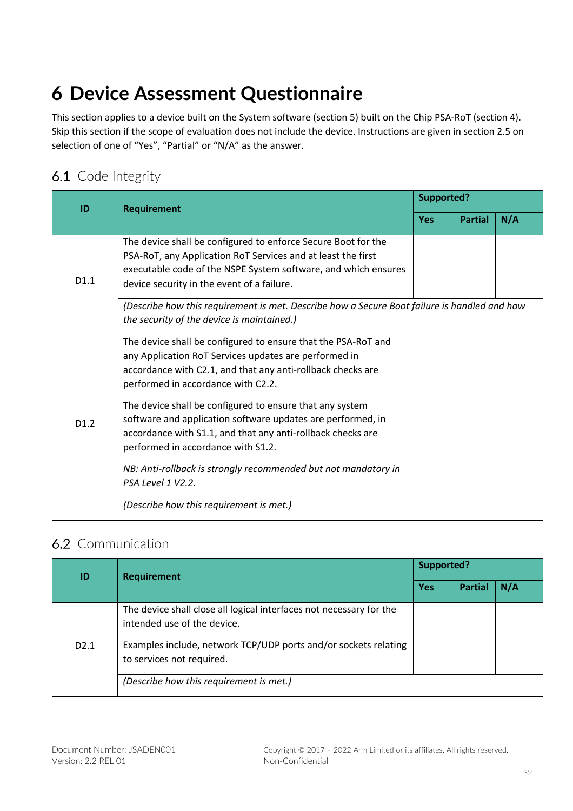# **6 Device Assessment Questionnaire**

This section applies to a device built on the System software (section 5) built on the Chip PSA-RoT (section 4). Skip this section if the scope of evaluation does not include the device. Instructions are given in section 2.5 on selection of one of "Yes", "Partial" or "N/A" as the answer.

## 6.1 Code Integrity

| ID   | <b>Requirement</b>                                                                                                                                                                                                                                                                                                                                                                                                                                                                                                                                 | <b>Supported?</b> |                |     |
|------|----------------------------------------------------------------------------------------------------------------------------------------------------------------------------------------------------------------------------------------------------------------------------------------------------------------------------------------------------------------------------------------------------------------------------------------------------------------------------------------------------------------------------------------------------|-------------------|----------------|-----|
|      |                                                                                                                                                                                                                                                                                                                                                                                                                                                                                                                                                    | <b>Yes</b>        | <b>Partial</b> | N/A |
| D1.1 | The device shall be configured to enforce Secure Boot for the<br>PSA-RoT, any Application RoT Services and at least the first<br>executable code of the NSPE System software, and which ensures<br>device security in the event of a failure.                                                                                                                                                                                                                                                                                                      |                   |                |     |
|      | (Describe how this requirement is met. Describe how a Secure Boot failure is handled and how<br>the security of the device is maintained.)                                                                                                                                                                                                                                                                                                                                                                                                         |                   |                |     |
| D1.2 | The device shall be configured to ensure that the PSA-RoT and<br>any Application RoT Services updates are performed in<br>accordance with C2.1, and that any anti-rollback checks are<br>performed in accordance with C2.2.<br>The device shall be configured to ensure that any system<br>software and application software updates are performed, in<br>accordance with S1.1, and that any anti-rollback checks are<br>performed in accordance with S1.2.<br>NB: Anti-rollback is strongly recommended but not mandatory in<br>PSA Level 1 V2.2. |                   |                |     |
|      | (Describe how this requirement is met.)                                                                                                                                                                                                                                                                                                                                                                                                                                                                                                            |                   |                |     |

### 6.2 Communication

| ID   | <b>Requirement</b>                                                                                                                                                                                 | Supported? |                |  |
|------|----------------------------------------------------------------------------------------------------------------------------------------------------------------------------------------------------|------------|----------------|--|
|      |                                                                                                                                                                                                    | <b>Yes</b> | N/A<br>Partial |  |
| D2.1 | The device shall close all logical interfaces not necessary for the<br>intended use of the device.<br>Examples include, network TCP/UDP ports and/or sockets relating<br>to services not required. |            |                |  |
|      | (Describe how this requirement is met.)                                                                                                                                                            |            |                |  |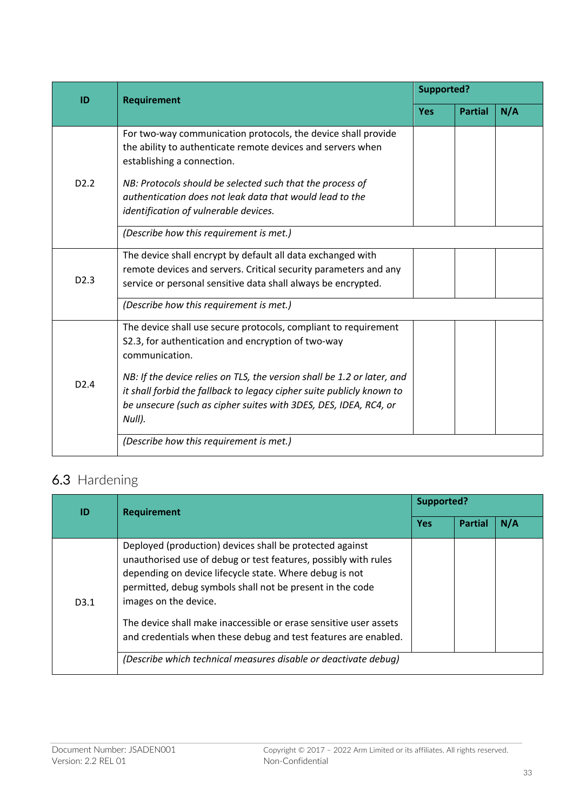| ID               | <b>Requirement</b>                                                                                                                                                                                                             | Supported? |                |     |
|------------------|--------------------------------------------------------------------------------------------------------------------------------------------------------------------------------------------------------------------------------|------------|----------------|-----|
|                  |                                                                                                                                                                                                                                | <b>Yes</b> | <b>Partial</b> | N/A |
|                  | For two-way communication protocols, the device shall provide<br>the ability to authenticate remote devices and servers when<br>establishing a connection.                                                                     |            |                |     |
| D <sub>2.2</sub> | NB: Protocols should be selected such that the process of<br>authentication does not leak data that would lead to the<br>identification of vulnerable devices.                                                                 |            |                |     |
|                  | (Describe how this requirement is met.)                                                                                                                                                                                        |            |                |     |
| D <sub>2.3</sub> | The device shall encrypt by default all data exchanged with<br>remote devices and servers. Critical security parameters and any<br>service or personal sensitive data shall always be encrypted.                               |            |                |     |
|                  | (Describe how this requirement is met.)                                                                                                                                                                                        |            |                |     |
|                  | The device shall use secure protocols, compliant to requirement<br>S2.3, for authentication and encryption of two-way<br>communication.                                                                                        |            |                |     |
| D2.4             | NB: If the device relies on TLS, the version shall be 1.2 or later, and<br>it shall forbid the fallback to legacy cipher suite publicly known to<br>be unsecure (such as cipher suites with 3DES, DES, IDEA, RC4, or<br>Null). |            |                |     |
|                  | (Describe how this requirement is met.)                                                                                                                                                                                        |            |                |     |

## 6.3 Hardening

| ID               | <b>Requirement</b>                                                                                                                                                                                                                                                                                                                                                                                                   | <b>Supported?</b> |                |     |
|------------------|----------------------------------------------------------------------------------------------------------------------------------------------------------------------------------------------------------------------------------------------------------------------------------------------------------------------------------------------------------------------------------------------------------------------|-------------------|----------------|-----|
|                  |                                                                                                                                                                                                                                                                                                                                                                                                                      | <b>Yes</b>        | <b>Partial</b> | N/A |
| D <sub>3.1</sub> | Deployed (production) devices shall be protected against<br>unauthorised use of debug or test features, possibly with rules<br>depending on device lifecycle state. Where debug is not<br>permitted, debug symbols shall not be present in the code<br>images on the device.<br>The device shall make inaccessible or erase sensitive user assets<br>and credentials when these debug and test features are enabled. |                   |                |     |
|                  | (Describe which technical measures disable or deactivate debug)                                                                                                                                                                                                                                                                                                                                                      |                   |                |     |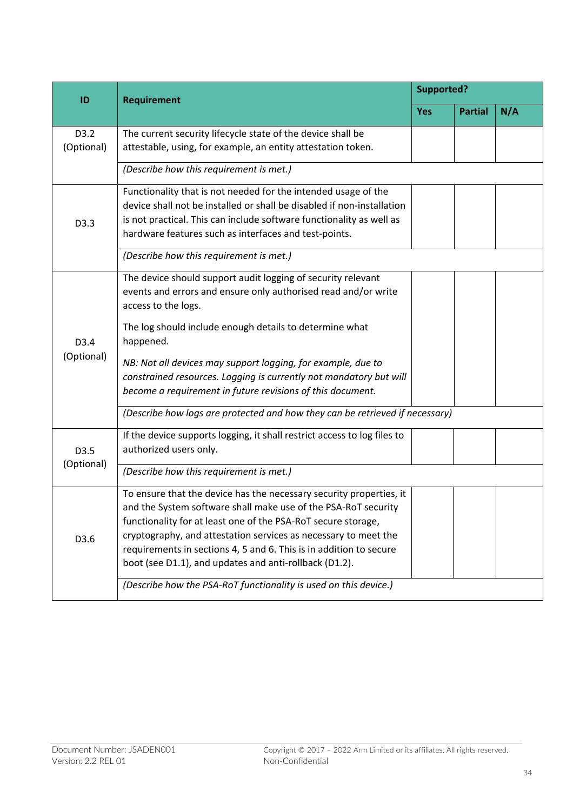| ID                 | Requirement                                                                                                                                                                                                                                                                                                                                                                                               | <b>Supported?</b> |                |     |  |
|--------------------|-----------------------------------------------------------------------------------------------------------------------------------------------------------------------------------------------------------------------------------------------------------------------------------------------------------------------------------------------------------------------------------------------------------|-------------------|----------------|-----|--|
|                    |                                                                                                                                                                                                                                                                                                                                                                                                           | <b>Yes</b>        | <b>Partial</b> | N/A |  |
| D3.2<br>(Optional) | The current security lifecycle state of the device shall be<br>attestable, using, for example, an entity attestation token.                                                                                                                                                                                                                                                                               |                   |                |     |  |
|                    | (Describe how this requirement is met.)                                                                                                                                                                                                                                                                                                                                                                   |                   |                |     |  |
| D3.3               | Functionality that is not needed for the intended usage of the<br>device shall not be installed or shall be disabled if non-installation<br>is not practical. This can include software functionality as well as<br>hardware features such as interfaces and test-points.                                                                                                                                 |                   |                |     |  |
|                    | (Describe how this requirement is met.)                                                                                                                                                                                                                                                                                                                                                                   |                   |                |     |  |
|                    | The device should support audit logging of security relevant<br>events and errors and ensure only authorised read and/or write<br>access to the logs.                                                                                                                                                                                                                                                     |                   |                |     |  |
| D3.4<br>(Optional) | The log should include enough details to determine what<br>happened.                                                                                                                                                                                                                                                                                                                                      |                   |                |     |  |
|                    | NB: Not all devices may support logging, for example, due to<br>constrained resources. Logging is currently not mandatory but will<br>become a requirement in future revisions of this document.                                                                                                                                                                                                          |                   |                |     |  |
|                    | (Describe how logs are protected and how they can be retrieved if necessary)                                                                                                                                                                                                                                                                                                                              |                   |                |     |  |
| D3.5<br>(Optional) | If the device supports logging, it shall restrict access to log files to<br>authorized users only.                                                                                                                                                                                                                                                                                                        |                   |                |     |  |
|                    | (Describe how this requirement is met.)                                                                                                                                                                                                                                                                                                                                                                   |                   |                |     |  |
| D3.6               | To ensure that the device has the necessary security properties, it<br>and the System software shall make use of the PSA-RoT security<br>functionality for at least one of the PSA-RoT secure storage,<br>cryptography, and attestation services as necessary to meet the<br>requirements in sections 4, 5 and 6. This is in addition to secure<br>boot (see D1.1), and updates and anti-rollback (D1.2). |                   |                |     |  |
|                    | (Describe how the PSA-RoT functionality is used on this device.)                                                                                                                                                                                                                                                                                                                                          |                   |                |     |  |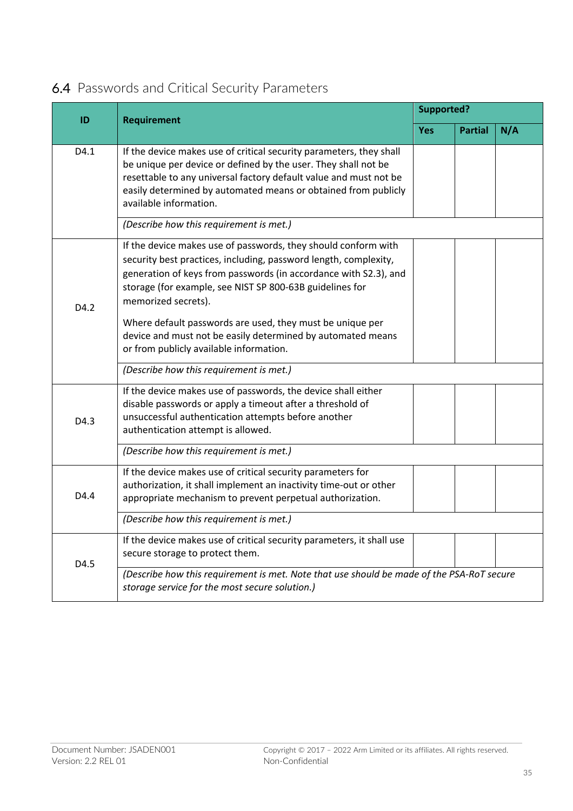| ID               |                                                                                                                                                                                                                                                                                                                                                                                                                       | <b>Supported?</b> |                |     |
|------------------|-----------------------------------------------------------------------------------------------------------------------------------------------------------------------------------------------------------------------------------------------------------------------------------------------------------------------------------------------------------------------------------------------------------------------|-------------------|----------------|-----|
|                  | <b>Requirement</b>                                                                                                                                                                                                                                                                                                                                                                                                    | <b>Yes</b>        | <b>Partial</b> | N/A |
| D4.1             | If the device makes use of critical security parameters, they shall<br>be unique per device or defined by the user. They shall not be<br>resettable to any universal factory default value and must not be<br>easily determined by automated means or obtained from publicly<br>available information.                                                                                                                |                   |                |     |
|                  | (Describe how this requirement is met.)                                                                                                                                                                                                                                                                                                                                                                               |                   |                |     |
| D <sub>4.2</sub> | If the device makes use of passwords, they should conform with<br>security best practices, including, password length, complexity,<br>generation of keys from passwords (in accordance with S2.3), and<br>storage (for example, see NIST SP 800-63B guidelines for<br>memorized secrets).<br>Where default passwords are used, they must be unique per<br>device and must not be easily determined by automated means |                   |                |     |
|                  | or from publicly available information.                                                                                                                                                                                                                                                                                                                                                                               |                   |                |     |
|                  | (Describe how this requirement is met.)                                                                                                                                                                                                                                                                                                                                                                               |                   |                |     |
| D4.3             | If the device makes use of passwords, the device shall either<br>disable passwords or apply a timeout after a threshold of<br>unsuccessful authentication attempts before another<br>authentication attempt is allowed.                                                                                                                                                                                               |                   |                |     |
|                  | (Describe how this requirement is met.)                                                                                                                                                                                                                                                                                                                                                                               |                   |                |     |
| D4.4             | If the device makes use of critical security parameters for<br>authorization, it shall implement an inactivity time-out or other<br>appropriate mechanism to prevent perpetual authorization.                                                                                                                                                                                                                         |                   |                |     |
|                  | (Describe how this requirement is met.)                                                                                                                                                                                                                                                                                                                                                                               |                   |                |     |
| D4.5             | If the device makes use of critical security parameters, it shall use<br>secure storage to protect them.                                                                                                                                                                                                                                                                                                              |                   |                |     |
|                  | (Describe how this requirement is met. Note that use should be made of the PSA-RoT secure<br>storage service for the most secure solution.)                                                                                                                                                                                                                                                                           |                   |                |     |

## 6.4 Passwords and Critical Security Parameters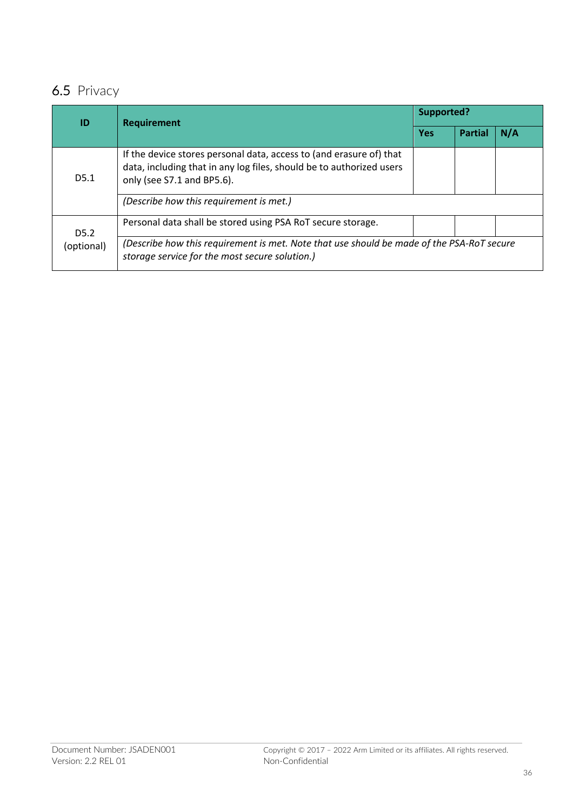## 6.5 Privacy

| ID                             | <b>Requirement</b>                                                                                                                                                        | <b>Supported?</b> |                |     |
|--------------------------------|---------------------------------------------------------------------------------------------------------------------------------------------------------------------------|-------------------|----------------|-----|
|                                |                                                                                                                                                                           | <b>Yes</b>        | <b>Partial</b> | N/A |
| D5.1                           | If the device stores personal data, access to (and erasure of) that<br>data, including that in any log files, should be to authorized users<br>only (see S7.1 and BP5.6). |                   |                |     |
|                                | (Describe how this requirement is met.)                                                                                                                                   |                   |                |     |
| D <sub>5.2</sub><br>(optional) | Personal data shall be stored using PSA RoT secure storage.                                                                                                               |                   |                |     |
|                                | (Describe how this requirement is met. Note that use should be made of the PSA-RoT secure<br>storage service for the most secure solution.)                               |                   |                |     |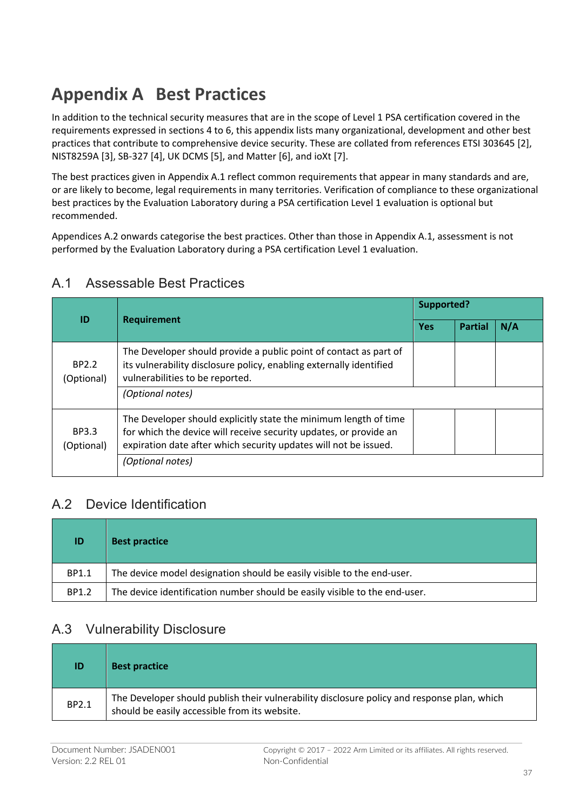## **Appendix A Best Practices**

In addition to the technical security measures that are in the scope of Level 1 PSA certification covered in the requirements expressed in sections 4 to 6, this appendix lists many organizational, development and other best practices that contribute to comprehensive device security. These are collated from references ETSI 303645 [2], NIST8259A [3], SB-327 [4], UK DCMS [5], and Matter [6], and ioXt [7].

The best practices given in Appendix A.1 reflect common requirements that appear in many standards and are, or are likely to become, legal requirements in many territories. Verification of compliance to these organizational best practices by the Evaluation Laboratory during a PSA certification Level 1 evaluation is optional but recommended.

Appendices A.2 onwards categorise the best practices. Other than those in Appendix A.1, assessment is not performed by the Evaluation Laboratory during a PSA certification Level 1 evaluation.

| ID                         |                                                                                                                                                                                                                               | <b>Supported?</b> |                |     |
|----------------------------|-------------------------------------------------------------------------------------------------------------------------------------------------------------------------------------------------------------------------------|-------------------|----------------|-----|
|                            | <b>Requirement</b>                                                                                                                                                                                                            | <b>Yes</b>        | <b>Partial</b> | N/A |
| BP2.2<br>(Optional)        | The Developer should provide a public point of contact as part of<br>its vulnerability disclosure policy, enabling externally identified<br>vulnerabilities to be reported.<br>(Optional notes)                               |                   |                |     |
| <b>BP3.3</b><br>(Optional) | The Developer should explicitly state the minimum length of time<br>for which the device will receive security updates, or provide an<br>expiration date after which security updates will not be issued.<br>(Optional notes) |                   |                |     |

#### A.1 Assessable Best Practices

### A.2 Device Identification

| ID    | <b>Best practice</b>                                                       |
|-------|----------------------------------------------------------------------------|
| BP1.1 | The device model designation should be easily visible to the end-user.     |
| BP1.2 | The device identification number should be easily visible to the end-user. |

### A.3 Vulnerability Disclosure

| ID    | <b>Best practice</b>                                                                                                                         |
|-------|----------------------------------------------------------------------------------------------------------------------------------------------|
| BP2.1 | The Developer should publish their vulnerability disclosure policy and response plan, which<br>should be easily accessible from its website. |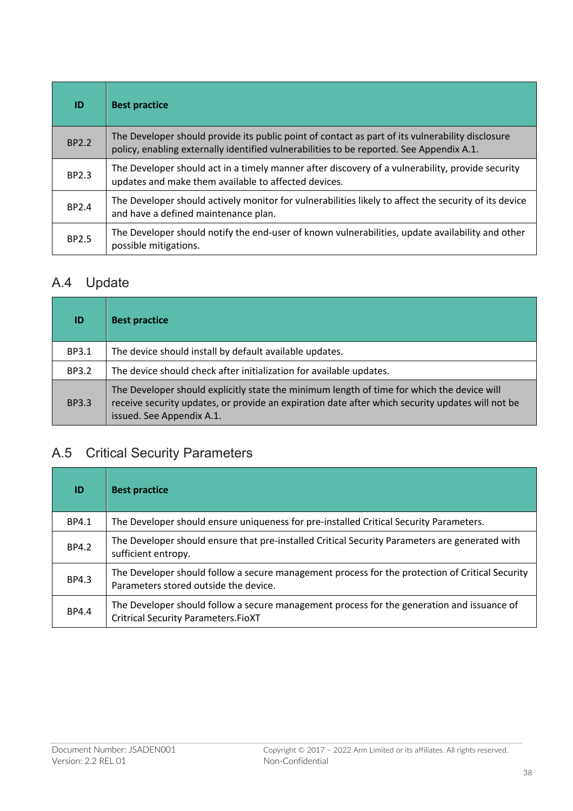| ID    | <b>Best practice</b>                                                                                                                                                                         |
|-------|----------------------------------------------------------------------------------------------------------------------------------------------------------------------------------------------|
| BP2.2 | The Developer should provide its public point of contact as part of its vulnerability disclosure<br>policy, enabling externally identified vulnerabilities to be reported. See Appendix A.1. |
| BP2.3 | The Developer should act in a timely manner after discovery of a vulnerability, provide security<br>updates and make them available to affected devices.                                     |
| BP2.4 | The Developer should actively monitor for vulnerabilities likely to affect the security of its device<br>and have a defined maintenance plan.                                                |
| BP2.5 | The Developer should notify the end-user of known vulnerabilities, update availability and other<br>possible mitigations.                                                                    |

## A.4 Update

| ID           | <b>Best practice</b>                                                                                                                                                                                                        |
|--------------|-----------------------------------------------------------------------------------------------------------------------------------------------------------------------------------------------------------------------------|
| BP3.1        | The device should install by default available updates.                                                                                                                                                                     |
| <b>BP3.2</b> | The device should check after initialization for available updates.                                                                                                                                                         |
| <b>BP3.3</b> | The Developer should explicitly state the minimum length of time for which the device will<br>receive security updates, or provide an expiration date after which security updates will not be<br>issued. See Appendix A.1. |

## A.5 Critical Security Parameters

| ID    | <b>Best practice</b>                                                                                                                     |
|-------|------------------------------------------------------------------------------------------------------------------------------------------|
| BP4.1 | The Developer should ensure uniqueness for pre-installed Critical Security Parameters.                                                   |
| BP4.2 | The Developer should ensure that pre-installed Critical Security Parameters are generated with<br>sufficient entropy.                    |
| BP4.3 | The Developer should follow a secure management process for the protection of Critical Security<br>Parameters stored outside the device. |
| BP4.4 | The Developer should follow a secure management process for the generation and issuance of<br><b>Critrical Security Parameters.FioXT</b> |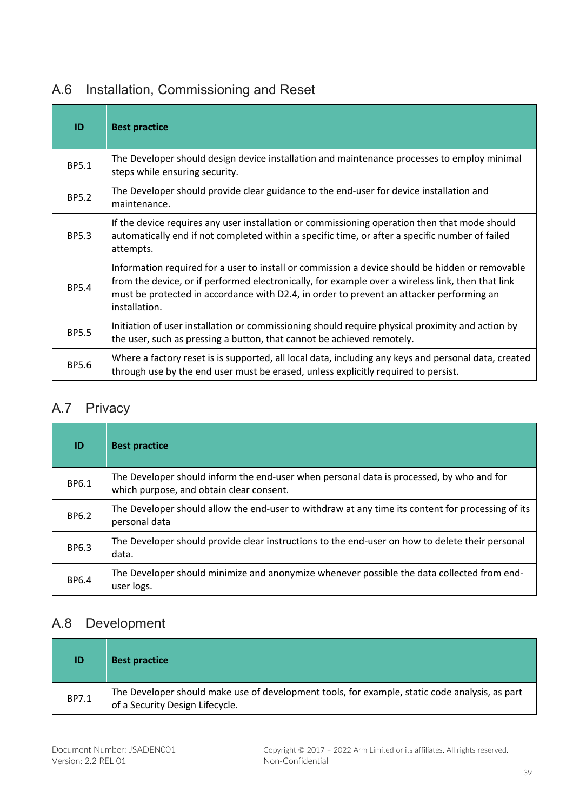| ID           | <b>Best practice</b>                                                                                                                                                                                                                                                                                              |
|--------------|-------------------------------------------------------------------------------------------------------------------------------------------------------------------------------------------------------------------------------------------------------------------------------------------------------------------|
| BP5.1        | The Developer should design device installation and maintenance processes to employ minimal<br>steps while ensuring security.                                                                                                                                                                                     |
| <b>BP5.2</b> | The Developer should provide clear guidance to the end-user for device installation and<br>maintenance.                                                                                                                                                                                                           |
| <b>BP5.3</b> | If the device requires any user installation or commissioning operation then that mode should<br>automatically end if not completed within a specific time, or after a specific number of failed<br>attempts.                                                                                                     |
| <b>BP5.4</b> | Information required for a user to install or commission a device should be hidden or removable<br>from the device, or if performed electronically, for example over a wireless link, then that link<br>must be protected in accordance with D2.4, in order to prevent an attacker performing an<br>installation. |
| <b>BP5.5</b> | Initiation of user installation or commissioning should require physical proximity and action by<br>the user, such as pressing a button, that cannot be achieved remotely.                                                                                                                                        |
| BP5.6        | Where a factory reset is is supported, all local data, including any keys and personal data, created<br>through use by the end user must be erased, unless explicitly required to persist.                                                                                                                        |

## A.6 Installation, Commissioning and Reset

## A.7 Privacy

| ID    | <b>Best practice</b>                                                                                                                 |
|-------|--------------------------------------------------------------------------------------------------------------------------------------|
| BP6.1 | The Developer should inform the end-user when personal data is processed, by who and for<br>which purpose, and obtain clear consent. |
| BP6.2 | The Developer should allow the end-user to withdraw at any time its content for processing of its<br>personal data                   |
| BP6.3 | The Developer should provide clear instructions to the end-user on how to delete their personal<br>data.                             |
| BP6.4 | The Developer should minimize and anonymize whenever possible the data collected from end-<br>user logs.                             |

## A.8 Development

| ID    | <b>Best practice</b>                                                                                                              |
|-------|-----------------------------------------------------------------------------------------------------------------------------------|
| BP7.1 | The Developer should make use of development tools, for example, static code analysis, as part<br>of a Security Design Lifecycle. |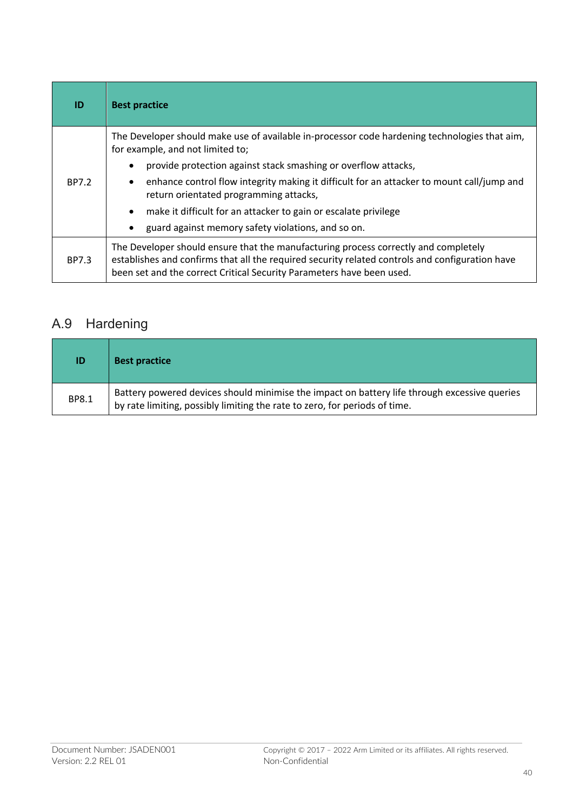| ID    | <b>Best practice</b>                                                                                                                                                                                                                                            |  |
|-------|-----------------------------------------------------------------------------------------------------------------------------------------------------------------------------------------------------------------------------------------------------------------|--|
|       | The Developer should make use of available in-processor code hardening technologies that aim,<br>for example, and not limited to;                                                                                                                               |  |
| BP7.2 | provide protection against stack smashing or overflow attacks,<br>$\bullet$                                                                                                                                                                                     |  |
|       | enhance control flow integrity making it difficult for an attacker to mount call/jump and<br>$\bullet$<br>return orientated programming attacks,                                                                                                                |  |
|       | make it difficult for an attacker to gain or escalate privilege<br>$\bullet$                                                                                                                                                                                    |  |
|       | guard against memory safety violations, and so on.<br>٠                                                                                                                                                                                                         |  |
| BP7.3 | The Developer should ensure that the manufacturing process correctly and completely<br>establishes and confirms that all the required security related controls and configuration have<br>been set and the correct Critical Security Parameters have been used. |  |

## A.9 Hardening

| ID           | <b>Best practice</b>                                                                                                                                                       |
|--------------|----------------------------------------------------------------------------------------------------------------------------------------------------------------------------|
| <b>BP8.1</b> | Battery powered devices should minimise the impact on battery life through excessive queries<br>by rate limiting, possibly limiting the rate to zero, for periods of time. |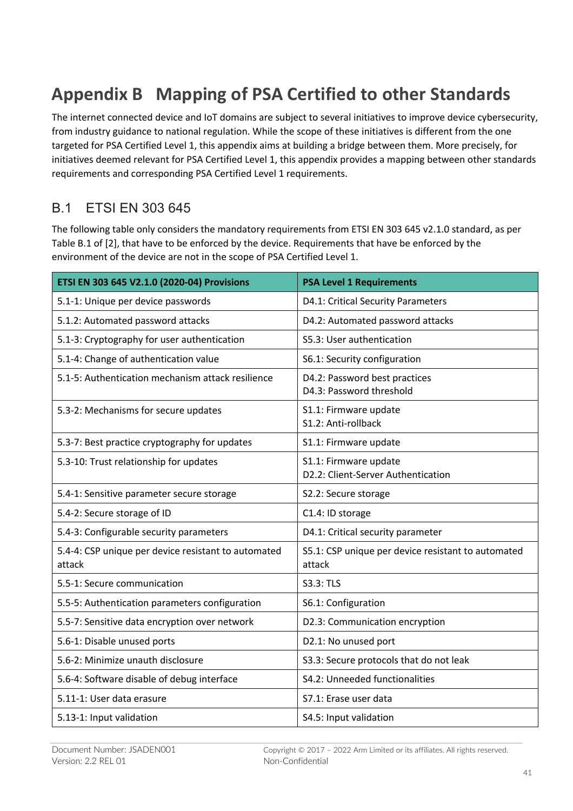## **Appendix B Mapping of PSA Certified to other Standards**

The internet connected device and IoT domains are subject to several initiatives to improve device cybersecurity, from industry guidance to national regulation. While the scope of these initiatives is different from the one targeted for PSA Certified Level 1, this appendix aims at building a bridge between them. More precisely, for initiatives deemed relevant for PSA Certified Level 1, this appendix provides a mapping between other standards requirements and corresponding PSA Certified Level 1 requirements.

## B.1 ETSI EN 303 645

The following table only considers the mandatory requirements from ETSI EN 303 645 v2.1.0 standard, as per Table B.1 of [2], that have to be enforced by the device. Requirements that have be enforced by the environment of the device are not in the scope of PSA Certified Level 1.

| ETSI EN 303 645 V2.1.0 (2020-04) Provisions                   | <b>PSA Level 1 Requirements</b>                              |  |
|---------------------------------------------------------------|--------------------------------------------------------------|--|
| 5.1-1: Unique per device passwords                            | D4.1: Critical Security Parameters                           |  |
| 5.1.2: Automated password attacks                             | D4.2: Automated password attacks                             |  |
| 5.1-3: Cryptography for user authentication                   | S5.3: User authentication                                    |  |
| 5.1-4: Change of authentication value                         | S6.1: Security configuration                                 |  |
| 5.1-5: Authentication mechanism attack resilience             | D4.2: Password best practices<br>D4.3: Password threshold    |  |
| 5.3-2: Mechanisms for secure updates                          | S1.1: Firmware update<br>S1.2: Anti-rollback                 |  |
| 5.3-7: Best practice cryptography for updates                 | S1.1: Firmware update                                        |  |
| 5.3-10: Trust relationship for updates                        | S1.1: Firmware update<br>D2.2: Client-Server Authentication  |  |
| 5.4-1: Sensitive parameter secure storage                     | S2.2: Secure storage                                         |  |
| 5.4-2: Secure storage of ID                                   | C1.4: ID storage                                             |  |
| 5.4-3: Configurable security parameters                       | D4.1: Critical security parameter                            |  |
| 5.4-4: CSP unique per device resistant to automated<br>attack | S5.1: CSP unique per device resistant to automated<br>attack |  |
| 5.5-1: Secure communication                                   | <b>S3.3: TLS</b>                                             |  |
| 5.5-5: Authentication parameters configuration                | S6.1: Configuration                                          |  |
| 5.5-7: Sensitive data encryption over network                 | D2.3: Communication encryption                               |  |
| 5.6-1: Disable unused ports                                   | D2.1: No unused port                                         |  |
| 5.6-2: Minimize unauth disclosure                             | S3.3: Secure protocols that do not leak                      |  |
| 5.6-4: Software disable of debug interface                    | S4.2: Unneeded functionalities                               |  |
| 5.11-1: User data erasure                                     | S7.1: Erase user data                                        |  |
| 5.13-1: Input validation                                      | S4.5: Input validation                                       |  |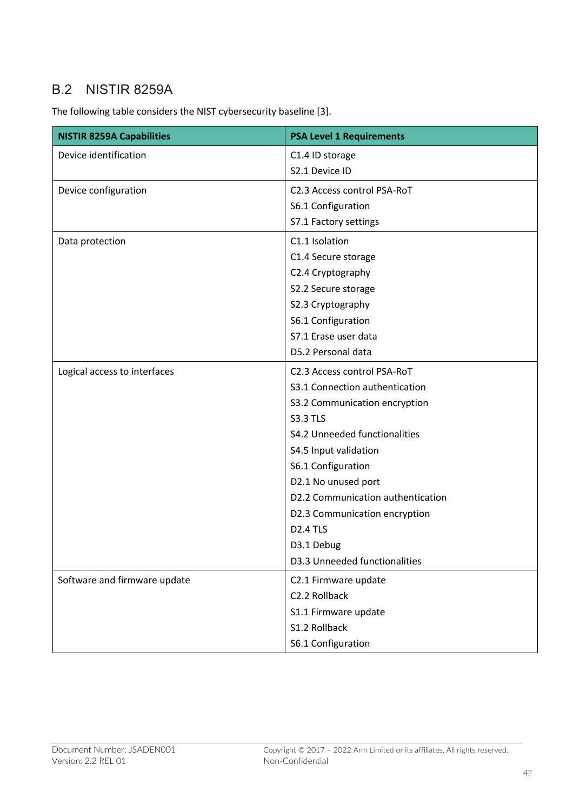## B.2 NISTIR 8259A

The following table considers the NIST cybersecurity baseline [3].

| <b>NISTIR 8259A Capabilities</b> | <b>PSA Level 1 Requirements</b>   |  |
|----------------------------------|-----------------------------------|--|
| Device identification            | C1.4 ID storage                   |  |
|                                  | S2.1 Device ID                    |  |
| Device configuration             | C2.3 Access control PSA-RoT       |  |
|                                  | S6.1 Configuration                |  |
|                                  | S7.1 Factory settings             |  |
| Data protection                  | C1.1 Isolation                    |  |
|                                  | C1.4 Secure storage               |  |
|                                  | C2.4 Cryptography                 |  |
|                                  | S2.2 Secure storage               |  |
|                                  | S2.3 Cryptography                 |  |
|                                  | S6.1 Configuration                |  |
|                                  | S7.1 Erase user data              |  |
|                                  | D5.2 Personal data                |  |
| Logical access to interfaces     | C2.3 Access control PSA-RoT       |  |
|                                  | S3.1 Connection authentication    |  |
|                                  | S3.2 Communication encryption     |  |
|                                  | <b>S3.3 TLS</b>                   |  |
|                                  | S4.2 Unneeded functionalities     |  |
|                                  | S4.5 Input validation             |  |
|                                  | S6.1 Configuration                |  |
|                                  | D2.1 No unused port               |  |
|                                  | D2.2 Communication authentication |  |
|                                  | D2.3 Communication encryption     |  |
|                                  | <b>D2.4 TLS</b>                   |  |
|                                  | D3.1 Debug                        |  |
|                                  | D3.3 Unneeded functionalities     |  |
| Software and firmware update     | C2.1 Firmware update              |  |
|                                  | C2.2 Rollback                     |  |
|                                  | S1.1 Firmware update              |  |
|                                  | S1.2 Rollback                     |  |
|                                  | S6.1 Configuration                |  |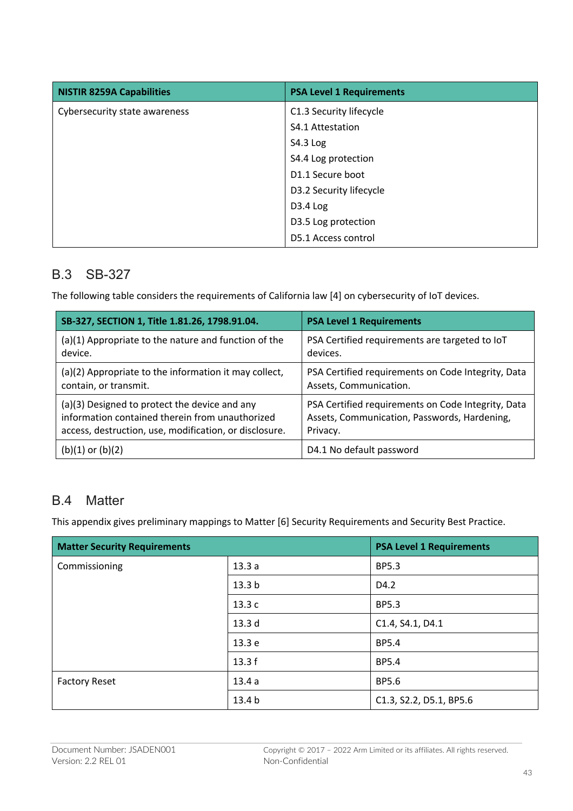| <b>NISTIR 8259A Capabilities</b> | <b>PSA Level 1 Requirements</b> |
|----------------------------------|---------------------------------|
| Cybersecurity state awareness    | C1.3 Security lifecycle         |
|                                  | S4.1 Attestation                |
|                                  | S4.3 Log                        |
|                                  | S4.4 Log protection             |
|                                  | D1.1 Secure boot                |
|                                  | D3.2 Security lifecycle         |
|                                  | D3.4 Log                        |
|                                  | D3.5 Log protection             |
|                                  | D5.1 Access control             |

### B.3 SB-327

The following table considers the requirements of California law [4] on cybersecurity of IoT devices.

| SB-327, SECTION 1, Title 1.81.26, 1798.91.04.          | <b>PSA Level 1 Requirements</b>                    |  |
|--------------------------------------------------------|----------------------------------------------------|--|
| (a)(1) Appropriate to the nature and function of the   | PSA Certified requirements are targeted to IoT     |  |
| device.                                                | devices.                                           |  |
| (a)(2) Appropriate to the information it may collect,  | PSA Certified requirements on Code Integrity, Data |  |
| contain, or transmit.                                  | Assets, Communication.                             |  |
| (a)(3) Designed to protect the device and any          | PSA Certified requirements on Code Integrity, Data |  |
| information contained therein from unauthorized        | Assets, Communication, Passwords, Hardening,       |  |
| access, destruction, use, modification, or disclosure. | Privacy.                                           |  |
| $(b)(1)$ or $(b)(2)$                                   | D4.1 No default password                           |  |

### B.4 Matter

This appendix gives preliminary mappings to Matter [6] Security Requirements and Security Best Practice.

| <b>Matter Security Requirements</b> |                   | <b>PSA Level 1 Requirements</b> |
|-------------------------------------|-------------------|---------------------------------|
| Commissioning                       | 13.3a             | <b>BP5.3</b>                    |
|                                     | 13.3 <sub>b</sub> | D4.2                            |
|                                     | 13.3c             | <b>BP5.3</b>                    |
|                                     | 13.3 d            | C1.4, S4.1, D4.1                |
|                                     | 13.3 e            | <b>BP5.4</b>                    |
|                                     | 13.3f             | <b>BP5.4</b>                    |
| <b>Factory Reset</b>                | 13.4a             | <b>BP5.6</b>                    |
|                                     | 13.4 b            | C1.3, S2.2, D5.1, BP5.6         |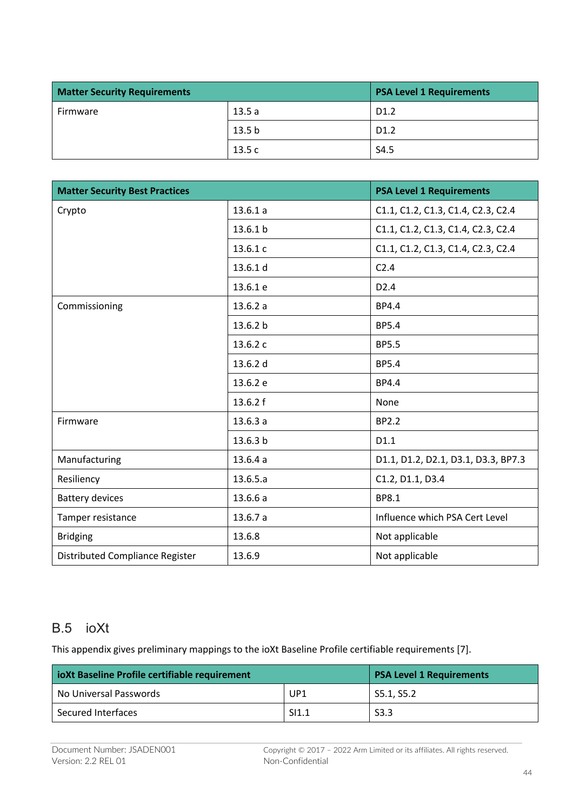| <b>Matter Security Requirements</b> |                   | <b>PSA Level 1 Requirements</b> |
|-------------------------------------|-------------------|---------------------------------|
| Firmware                            | 13.5a             | D <sub>1.2</sub>                |
|                                     | 13.5 <sub>b</sub> | D <sub>1.2</sub>                |
|                                     | 13.5c             | S4.5                            |

| <b>Matter Security Best Practices</b> |          | <b>PSA Level 1 Requirements</b>     |
|---------------------------------------|----------|-------------------------------------|
| Crypto                                | 13.6.1a  | C1.1, C1.2, C1.3, C1.4, C2.3, C2.4  |
|                                       | 13.6.1 b | C1.1, C1.2, C1.3, C1.4, C2.3, C2.4  |
|                                       | 13.6.1 c | C1.1, C1.2, C1.3, C1.4, C2.3, C2.4  |
|                                       | 13.6.1 d | C <sub>2.4</sub>                    |
|                                       | 13.6.1 e | D2.4                                |
| Commissioning                         | 13.6.2a  | BP4.4                               |
|                                       | 13.6.2 b | <b>BP5.4</b>                        |
|                                       | 13.6.2 c | <b>BP5.5</b>                        |
|                                       | 13.6.2 d | <b>BP5.4</b>                        |
|                                       | 13.6.2 e | BP4.4                               |
|                                       | 13.6.2 f | None                                |
| Firmware                              | 13.6.3a  | <b>BP2.2</b>                        |
|                                       | 13.6.3 b | D1.1                                |
| Manufacturing                         | 13.6.4a  | D1.1, D1.2, D2.1, D3.1, D3.3, BP7.3 |
| Resiliency                            | 13.6.5.a | C1.2, D1.1, D3.4                    |
| <b>Battery devices</b>                | 13.6.6a  | <b>BP8.1</b>                        |
| Tamper resistance                     | 13.6.7a  | Influence which PSA Cert Level      |
| <b>Bridging</b>                       | 13.6.8   | Not applicable                      |
| Distributed Compliance Register       | 13.6.9   | Not applicable                      |

### B.5 ioXt

This appendix gives preliminary mappings to the ioXt Baseline Profile certifiable requirements [7].

| ioXt Baseline Profile certifiable requirement | <b>PSA Level 1 Requirements</b> |                  |
|-----------------------------------------------|---------------------------------|------------------|
| No Universal Passwords                        | UP1                             | S5.1, S5.2       |
| Secured Interfaces                            | SI1.1                           | S <sub>3.3</sub> |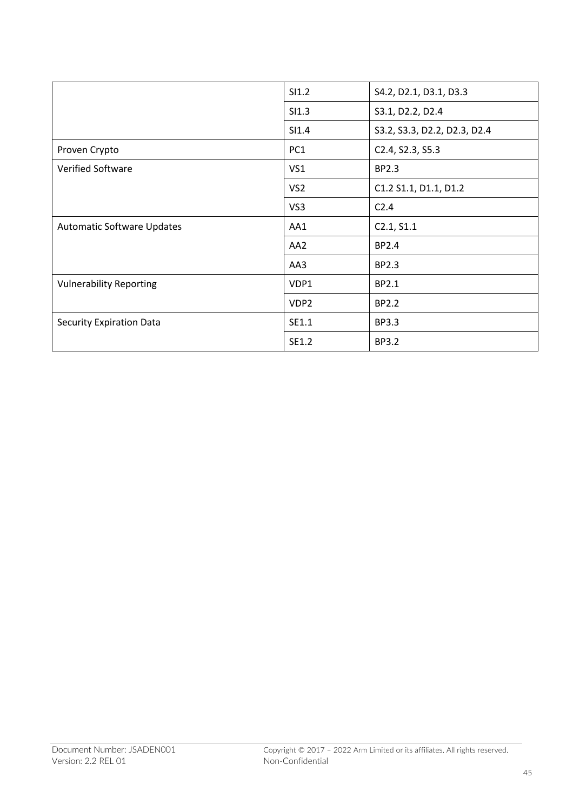|                                   | SI1.2            | S4.2, D2.1, D3.1, D3.3       |
|-----------------------------------|------------------|------------------------------|
|                                   | SI1.3            | S3.1, D2.2, D2.4             |
|                                   | SI1.4            | S3.2, S3.3, D2.2, D2.3, D2.4 |
| Proven Crypto                     | PC <sub>1</sub>  | C2.4, S2.3, S5.3             |
| <b>Verified Software</b>          | VS <sub>1</sub>  | BP2.3                        |
|                                   | VS <sub>2</sub>  | C1.2 S1.1, D1.1, D1.2        |
|                                   | VS3              | C <sub>2.4</sub>             |
| <b>Automatic Software Updates</b> | AA1              | C2.1, S1.1                   |
|                                   | AA <sub>2</sub>  | BP2.4                        |
|                                   | AA3              | BP2.3                        |
| <b>Vulnerability Reporting</b>    | VDP1             | BP2.1                        |
|                                   | VDP <sub>2</sub> | BP2.2                        |
| Security Expiration Data          | SE1.1            | <b>BP3.3</b>                 |
|                                   | SE1.2            | <b>BP3.2</b>                 |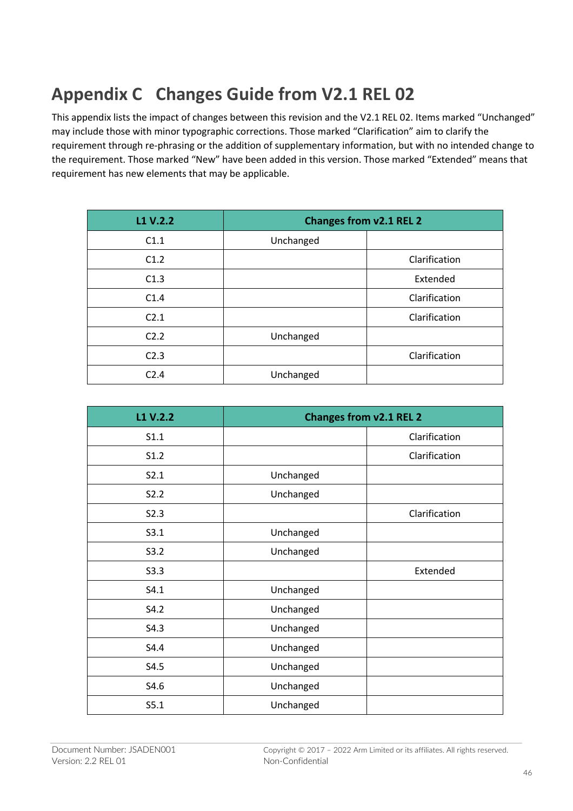## **Appendix C Changes Guide from V2.1 REL 02**

This appendix lists the impact of changes between this revision and the V2.1 REL 02. Items marked "Unchanged" may include those with minor typographic corrections. Those marked "Clarification" aim to clarify the requirement through re-phrasing or the addition of supplementary information, but with no intended change to the requirement. Those marked "New" have been added in this version. Those marked "Extended" means that requirement has new elements that may be applicable.

| L1 V.2.2         | <b>Changes from v2.1 REL 2</b> |               |
|------------------|--------------------------------|---------------|
| C1.1             | Unchanged                      |               |
| C1.2             |                                | Clarification |
| C1.3             |                                | Extended      |
| C1.4             |                                | Clarification |
| C <sub>2.1</sub> |                                | Clarification |
| C2.2             | Unchanged                      |               |
| C <sub>2.3</sub> |                                | Clarification |
| C <sub>2.4</sub> | Unchanged                      |               |

| L1 V.2.2 | <b>Changes from v2.1 REL 2</b> |               |
|----------|--------------------------------|---------------|
| S1.1     |                                | Clarification |
| S1.2     |                                | Clarification |
| S2.1     | Unchanged                      |               |
| S2.2     | Unchanged                      |               |
| S2.3     |                                | Clarification |
| S3.1     | Unchanged                      |               |
| S3.2     | Unchanged                      |               |
| S3.3     |                                | Extended      |
| S4.1     | Unchanged                      |               |
| S4.2     | Unchanged                      |               |
| S4.3     | Unchanged                      |               |
| S4.4     | Unchanged                      |               |
| S4.5     | Unchanged                      |               |
| S4.6     | Unchanged                      |               |
| S5.1     | Unchanged                      |               |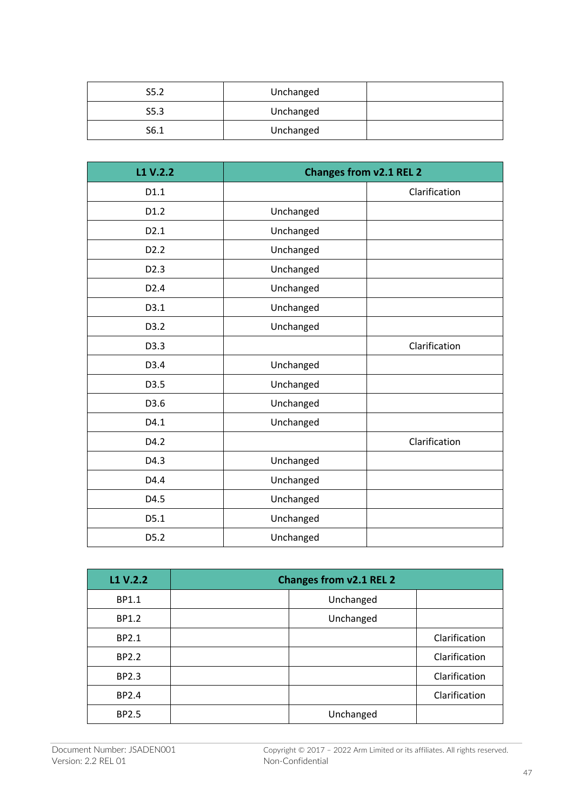| S5.2 | Unchanged |  |
|------|-----------|--|
| S5.3 | Unchanged |  |
| S6.1 | Unchanged |  |

| L1 V.2.2         | <b>Changes from v2.1 REL 2</b> |               |
|------------------|--------------------------------|---------------|
| D1.1             |                                | Clarification |
| D1.2             | Unchanged                      |               |
| D2.1             | Unchanged                      |               |
| D <sub>2.2</sub> | Unchanged                      |               |
| D <sub>2.3</sub> | Unchanged                      |               |
| D2.4             | Unchanged                      |               |
| D3.1             | Unchanged                      |               |
| D3.2             | Unchanged                      |               |
| D3.3             |                                | Clarification |
| D3.4             | Unchanged                      |               |
| D3.5             | Unchanged                      |               |
| D3.6             | Unchanged                      |               |
| D4.1             | Unchanged                      |               |
| D4.2             |                                | Clarification |
| D4.3             | Unchanged                      |               |
| D4.4             | Unchanged                      |               |
| D4.5             | Unchanged                      |               |
| D5.1             | Unchanged                      |               |
| D5.2             | Unchanged                      |               |

| L1 V.2.2 | <b>Changes from v2.1 REL 2</b> |               |
|----------|--------------------------------|---------------|
| BP1.1    | Unchanged                      |               |
| BP1.2    | Unchanged                      |               |
| BP2.1    |                                | Clarification |
| BP2.2    |                                | Clarification |
| BP2.3    |                                | Clarification |
| BP2.4    |                                | Clarification |
| BP2.5    | Unchanged                      |               |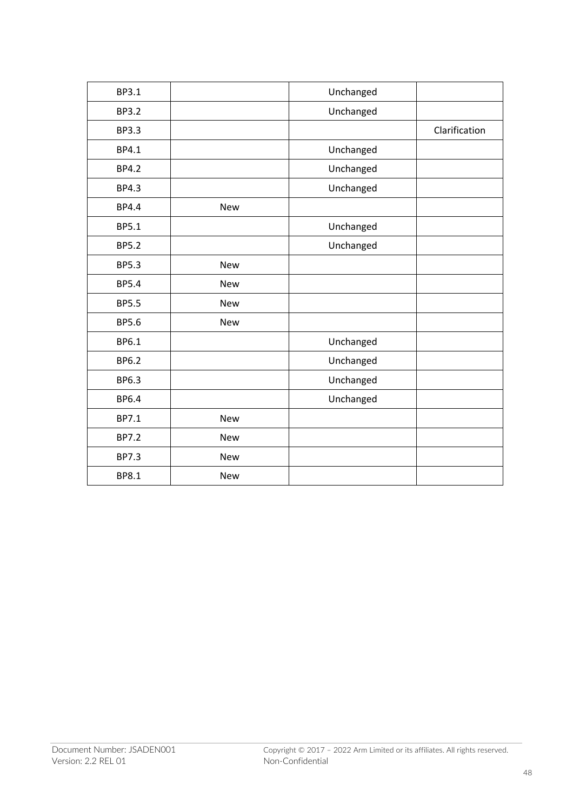| BP3.1        |            | Unchanged |               |
|--------------|------------|-----------|---------------|
| <b>BP3.2</b> |            | Unchanged |               |
| <b>BP3.3</b> |            |           | Clarification |
| BP4.1        |            | Unchanged |               |
| <b>BP4.2</b> |            | Unchanged |               |
| <b>BP4.3</b> |            | Unchanged |               |
| BP4.4        | New        |           |               |
| <b>BP5.1</b> |            | Unchanged |               |
| <b>BP5.2</b> |            | Unchanged |               |
| <b>BP5.3</b> | <b>New</b> |           |               |
| <b>BP5.4</b> | <b>New</b> |           |               |
| <b>BP5.5</b> | <b>New</b> |           |               |
| <b>BP5.6</b> | <b>New</b> |           |               |
| BP6.1        |            | Unchanged |               |
| BP6.2        |            | Unchanged |               |
| BP6.3        |            | Unchanged |               |
| <b>BP6.4</b> |            | Unchanged |               |
| BP7.1        | <b>New</b> |           |               |
| <b>BP7.2</b> | <b>New</b> |           |               |
| BP7.3        | New        |           |               |
| BP8.1        | <b>New</b> |           |               |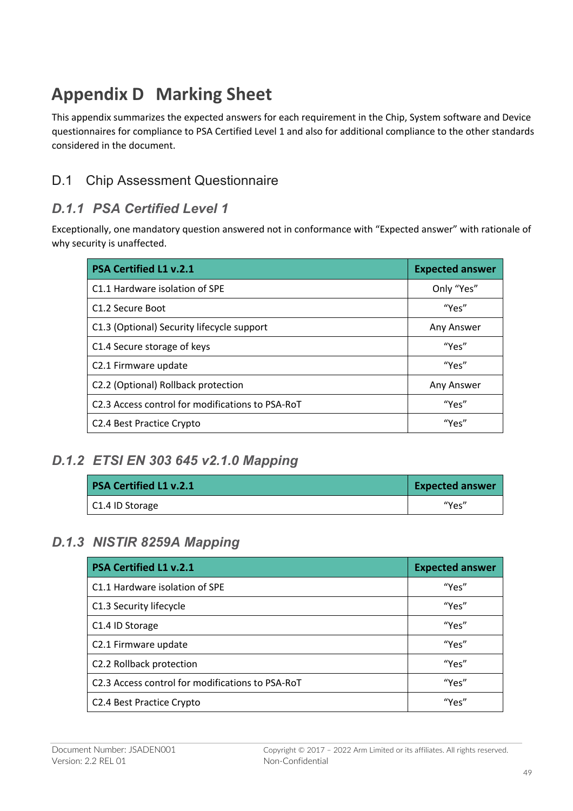## **Appendix D Marking Sheet**

This appendix summarizes the expected answers for each requirement in the Chip, System software and Device questionnaires for compliance to PSA Certified Level 1 and also for additional compliance to the other standards considered in the document.

## D.1 Chip Assessment Questionnaire

### *D.1.1 PSA Certified Level 1*

Exceptionally, one mandatory question answered not in conformance with "Expected answer" with rationale of why security is unaffected.

| <b>PSA Certified L1 v.2.1</b>                    | <b>Expected answer</b> |
|--------------------------------------------------|------------------------|
| C1.1 Hardware isolation of SPE                   | Only "Yes"             |
| C <sub>1.2</sub> Secure Boot                     | "Yes"                  |
| C1.3 (Optional) Security lifecycle support       | Any Answer             |
| C1.4 Secure storage of keys                      | "Yes"                  |
| C2.1 Firmware update                             | "Yes"                  |
| C2.2 (Optional) Rollback protection              | Any Answer             |
| C2.3 Access control for modifications to PSA-RoT | "Yes"                  |
| C <sub>2</sub> .4 Best Practice Crypto           | "Yes"                  |

### *D.1.2 ETSI EN 303 645 v2.1.0 Mapping*

| <b>PSA Certified L1 v.2.1</b> | <b>Expected answer</b> |
|-------------------------------|------------------------|
| C1.4 ID Storage               | "Yes"                  |

### *D.1.3 NISTIR 8259A Mapping*

| <b>PSA Certified L1 v.2.1</b>                    | <b>Expected answer</b> |
|--------------------------------------------------|------------------------|
| C1.1 Hardware isolation of SPE                   | "Yes"                  |
| C1.3 Security lifecycle                          | "Yes"                  |
| C1.4 ID Storage                                  | "Yes"                  |
| C2.1 Firmware update                             | "Yes"                  |
| C2.2 Rollback protection                         | "Yes"                  |
| C2.3 Access control for modifications to PSA-RoT | "Yes"                  |
| C2.4 Best Practice Crypto                        | "Yes"                  |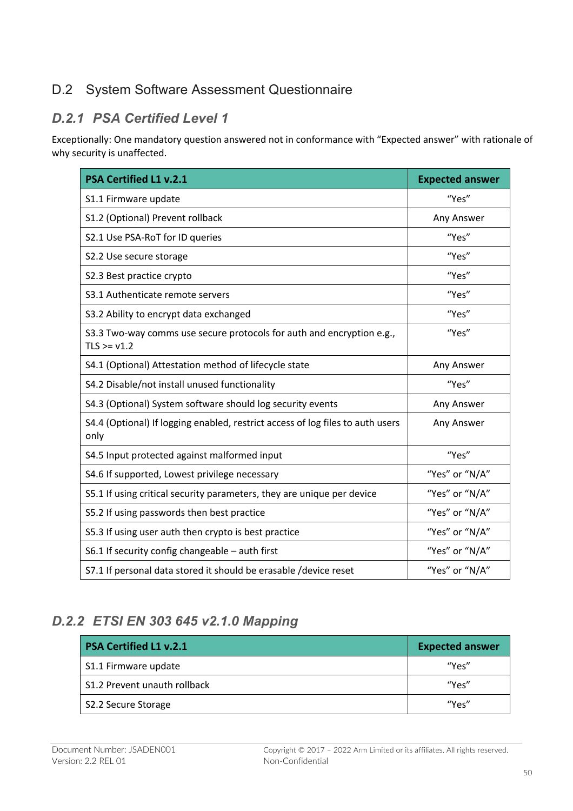### D.2 System Software Assessment Questionnaire

#### *D.2.1 PSA Certified Level 1*

Exceptionally: One mandatory question answered not in conformance with "Expected answer" with rationale of why security is unaffected.

| <b>PSA Certified L1 v.2.1</b>                                                          | <b>Expected answer</b> |
|----------------------------------------------------------------------------------------|------------------------|
| S1.1 Firmware update                                                                   | "Yes"                  |
| S1.2 (Optional) Prevent rollback                                                       | Any Answer             |
| S2.1 Use PSA-RoT for ID queries                                                        | "Yes"                  |
| S2.2 Use secure storage                                                                | "Yes"                  |
| S2.3 Best practice crypto                                                              | "Yes"                  |
| S3.1 Authenticate remote servers                                                       | "Yes"                  |
| S3.2 Ability to encrypt data exchanged                                                 | "Yes"                  |
| S3.3 Two-way comms use secure protocols for auth and encryption e.g.,<br>$TLS >= v1.2$ | "Yes"                  |
| S4.1 (Optional) Attestation method of lifecycle state                                  | Any Answer             |
| S4.2 Disable/not install unused functionality                                          | "Yes"                  |
| S4.3 (Optional) System software should log security events                             | Any Answer             |
| S4.4 (Optional) If logging enabled, restrict access of log files to auth users<br>only | Any Answer             |
| S4.5 Input protected against malformed input                                           | "Yes"                  |
| S4.6 If supported, Lowest privilege necessary                                          | "Yes" or "N/A"         |
| S5.1 If using critical security parameters, they are unique per device                 | "Yes" or "N/A"         |
| S5.2 If using passwords then best practice                                             | "Yes" or "N/A"         |
| S5.3 If using user auth then crypto is best practice                                   | "Yes" or "N/A"         |
| S6.1 If security config changeable - auth first                                        | "Yes" or "N/A"         |
| S7.1 If personal data stored it should be erasable /device reset                       | "Yes" or "N/A"         |

## *D.2.2 ETSI EN 303 645 v2.1.0 Mapping*

| <b>PSA Certified L1 v.2.1</b> | <b>Expected answer</b> |
|-------------------------------|------------------------|
| S1.1 Firmware update          | "Υρς"                  |
| S1.2 Prevent unauth rollback  | "Υρς"                  |
| S2.2 Secure Storage           | "Υρς"                  |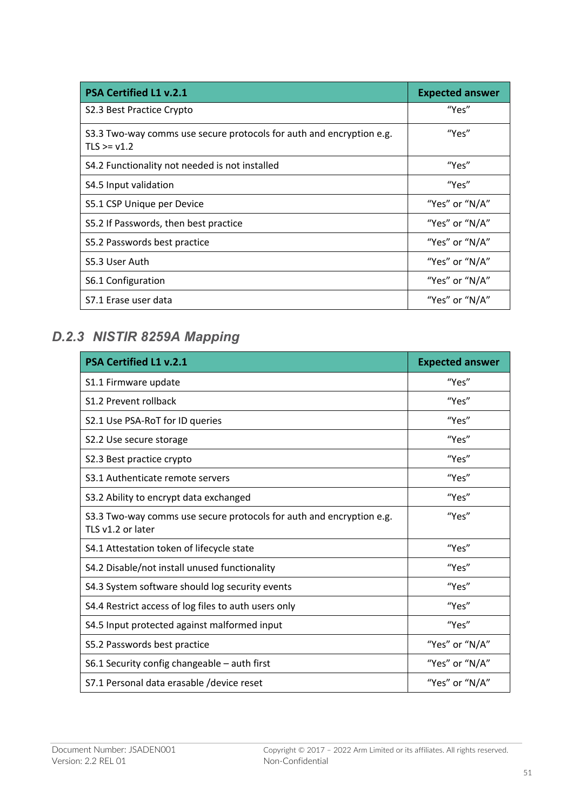| <b>PSA Certified L1 v.2.1</b>                                                        | <b>Expected answer</b> |
|--------------------------------------------------------------------------------------|------------------------|
| S2.3 Best Practice Crypto                                                            | "Yes"                  |
| S3.3 Two-way comms use secure protocols for auth and encryption e.g.<br>$TLS = v1.2$ | "Yes"                  |
| S4.2 Functionality not needed is not installed                                       | "Yes"                  |
| S4.5 Input validation                                                                | "Yes"                  |
| S5.1 CSP Unique per Device                                                           | "Yes" or "N/A"         |
| S5.2 If Passwords, then best practice                                                | "Yes" or "N/A"         |
| S5.2 Passwords best practice                                                         | "Yes" or "N/A"         |
| S5.3 User Auth                                                                       | "Yes" or "N/A"         |
| S6.1 Configuration                                                                   | "Yes" or "N/A"         |
| S7.1 Erase user data                                                                 | "Yes" or "N/A"         |

## *D.2.3 NISTIR 8259A Mapping*

| <b>PSA Certified L1 v.2.1</b>                                                             | <b>Expected answer</b> |
|-------------------------------------------------------------------------------------------|------------------------|
| S1.1 Firmware update                                                                      | "Yes"                  |
| S1.2 Prevent rollback                                                                     | "Yes"                  |
| S2.1 Use PSA-RoT for ID queries                                                           | "Yes"                  |
| S2.2 Use secure storage                                                                   | "Yes"                  |
| S2.3 Best practice crypto                                                                 | "Yes"                  |
| S3.1 Authenticate remote servers                                                          | "Yes"                  |
| S3.2 Ability to encrypt data exchanged                                                    | "Yes"                  |
| S3.3 Two-way comms use secure protocols for auth and encryption e.g.<br>TLS v1.2 or later | "Yes"                  |
| S4.1 Attestation token of lifecycle state                                                 | "Yes"                  |
| S4.2 Disable/not install unused functionality                                             | "Yes"                  |
| S4.3 System software should log security events                                           | "Yes"                  |
| S4.4 Restrict access of log files to auth users only                                      | "Yes"                  |
| S4.5 Input protected against malformed input                                              | "Yes"                  |
| S5.2 Passwords best practice                                                              | "Yes" or "N/A"         |
| S6.1 Security config changeable - auth first                                              | "Yes" or "N/A"         |
| S7.1 Personal data erasable / device reset                                                | "Yes" or "N/A"         |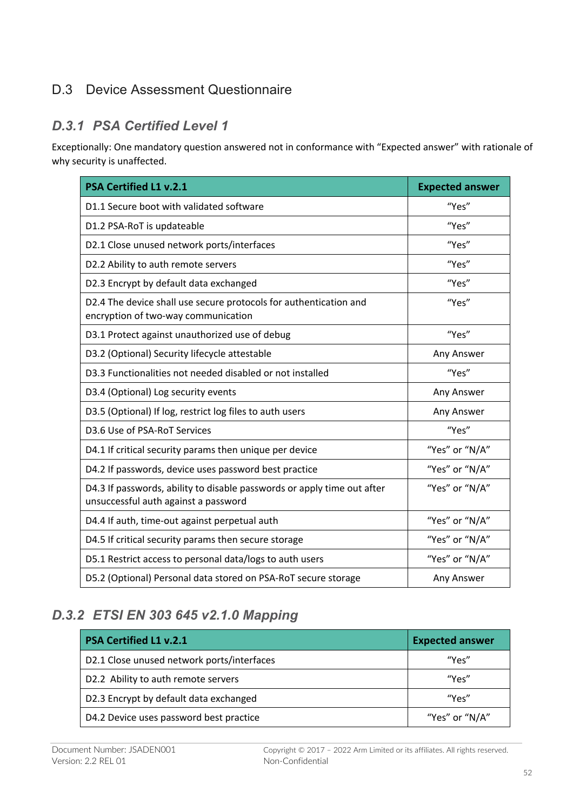## D.3 Device Assessment Questionnaire

#### *D.3.1 PSA Certified Level 1*

Exceptionally: One mandatory question answered not in conformance with "Expected answer" with rationale of why security is unaffected.

| <b>PSA Certified L1 v.2.1</b>                                                                                   | <b>Expected answer</b> |
|-----------------------------------------------------------------------------------------------------------------|------------------------|
| D1.1 Secure boot with validated software                                                                        | "Yes"                  |
| D1.2 PSA-RoT is updateable                                                                                      | "Yes"                  |
| D2.1 Close unused network ports/interfaces                                                                      | "Yes"                  |
| D2.2 Ability to auth remote servers                                                                             | "Yes"                  |
| D2.3 Encrypt by default data exchanged                                                                          | "Yes"                  |
| D2.4 The device shall use secure protocols for authentication and<br>encryption of two-way communication        | "Yes"                  |
| D3.1 Protect against unauthorized use of debug                                                                  | "Yes"                  |
| D3.2 (Optional) Security lifecycle attestable                                                                   | Any Answer             |
| D3.3 Functionalities not needed disabled or not installed                                                       | "Yes"                  |
| D3.4 (Optional) Log security events                                                                             | Any Answer             |
| D3.5 (Optional) If log, restrict log files to auth users                                                        | Any Answer             |
| D3.6 Use of PSA-RoT Services                                                                                    | "Yes"                  |
| D4.1 If critical security params then unique per device                                                         | "Yes" or "N/A"         |
| D4.2 If passwords, device uses password best practice                                                           | "Yes" or "N/A"         |
| D4.3 If passwords, ability to disable passwords or apply time out after<br>unsuccessful auth against a password | "Yes" or "N/A"         |
| D4.4 If auth, time-out against perpetual auth                                                                   | "Yes" or "N/A"         |
| D4.5 If critical security params then secure storage                                                            | "Yes" or "N/A"         |
| D5.1 Restrict access to personal data/logs to auth users                                                        | "Yes" or "N/A"         |
| D5.2 (Optional) Personal data stored on PSA-RoT secure storage                                                  | Any Answer             |

### *D.3.2 ETSI EN 303 645 v2.1.0 Mapping*

| <b>PSA Certified L1 v.2.1</b>              | <b>Expected answer</b> |
|--------------------------------------------|------------------------|
| D2.1 Close unused network ports/interfaces | "Υρς"                  |
| D2.2 Ability to auth remote servers        | "Yes"                  |
| D2.3 Encrypt by default data exchanged     | <b><i>"Υρς"</i></b>    |
| D4.2 Device uses password best practice    | "Yes" or "N/A"         |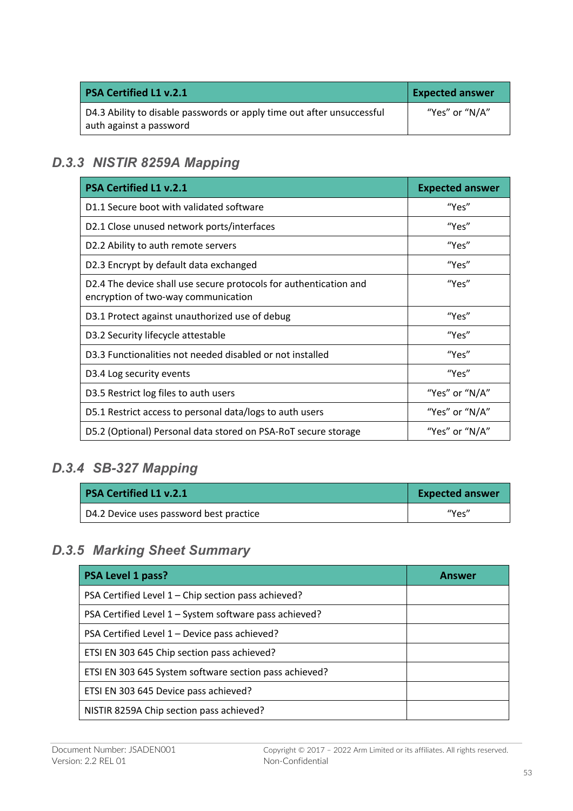| <b>PSA Certified L1 v.2.1</b>                                                                     | <b>Expected answer</b> |
|---------------------------------------------------------------------------------------------------|------------------------|
| D4.3 Ability to disable passwords or apply time out after unsuccessful<br>auth against a password | "Yes" or "N/A"         |

### *D.3.3 NISTIR 8259A Mapping*

| <b>PSA Certified L1 v.2.1</b>                                                                            | <b>Expected answer</b> |
|----------------------------------------------------------------------------------------------------------|------------------------|
| D1.1 Secure boot with validated software                                                                 | "Yes"                  |
| D2.1 Close unused network ports/interfaces                                                               | "Yes"                  |
| D2.2 Ability to auth remote servers                                                                      | "Yes"                  |
| D2.3 Encrypt by default data exchanged                                                                   | "Yes"                  |
| D2.4 The device shall use secure protocols for authentication and<br>encryption of two-way communication | "Yes"                  |
| D3.1 Protect against unauthorized use of debug                                                           | "Yes"                  |
| D3.2 Security lifecycle attestable                                                                       | "Yes"                  |
| D3.3 Functionalities not needed disabled or not installed                                                | "Yes"                  |
| D3.4 Log security events                                                                                 | "Yes"                  |
| D3.5 Restrict log files to auth users                                                                    | "Yes" or "N/A"         |
| D5.1 Restrict access to personal data/logs to auth users                                                 | "Yes" or "N/A"         |
| D5.2 (Optional) Personal data stored on PSA-RoT secure storage                                           | "Yes" or "N/A"         |

#### *D.3.4 SB-327 Mapping*

| PSA Certified L1 v.2.1                  | <b>Expected answer</b> |
|-----------------------------------------|------------------------|
| D4.2 Device uses password best practice | "Yes"                  |

#### *D.3.5 Marking Sheet Summary*

| <b>PSA Level 1 pass?</b>                               | Answer |
|--------------------------------------------------------|--------|
| PSA Certified Level 1 - Chip section pass achieved?    |        |
| PSA Certified Level 1 – System software pass achieved? |        |
| PSA Certified Level 1 – Device pass achieved?          |        |
| ETSI EN 303 645 Chip section pass achieved?            |        |
| ETSI EN 303 645 System software section pass achieved? |        |
| ETSI EN 303 645 Device pass achieved?                  |        |
| NISTIR 8259A Chip section pass achieved?               |        |